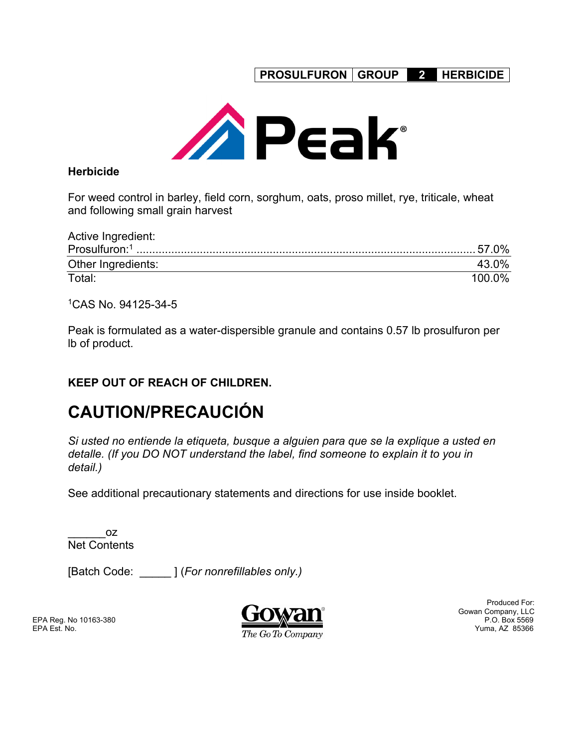**PROSULFURON GROUP 2 HERBICIDE** 



### **Herbicide**

For weed control in barley, field corn, sorghum, oats, proso millet, rye, triticale, wheat and following small grain harvest

| Active Ingredient: |                   |
|--------------------|-------------------|
|                    |                   |
| Other Ingredients: | 43.0 <sup>%</sup> |
| Total:             | 100.0%            |

1CAS No. 94125-34-5

Peak is formulated as a water-dispersible granule and contains 0.57 lb prosulfuron per lb of product.

# **KEEP OUT OF REACH OF CHILDREN.**

# **CAUTION/PRECAUCIÓN**

*Si usted no entiende la etiqueta, busque a alguien para que se la explique a usted en detalle. (If you DO NOT understand the label, find someone to explain it to you in detail.)* 

See additional precautionary statements and directions for use inside booklet.

\_\_\_\_\_\_oz Net Contents

[Batch Code: \_\_\_\_\_ ] (*For nonrefillables only.)* 

EPA Reg. No 10163-380



Produced For: Gowan Company, LLC<br>P.O. Box 5569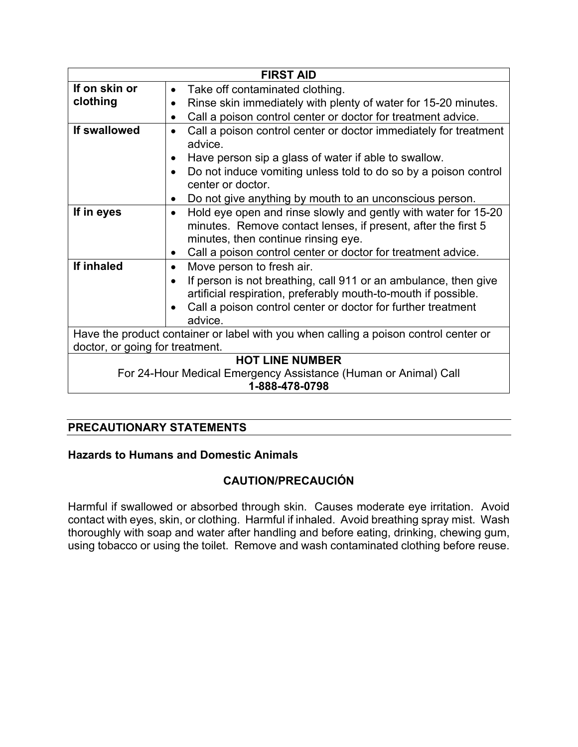|                                                                                      | <b>FIRST AID</b>                                                                                                                                                                    |  |  |
|--------------------------------------------------------------------------------------|-------------------------------------------------------------------------------------------------------------------------------------------------------------------------------------|--|--|
| If on skin or                                                                        | Take off contaminated clothing.<br>$\bullet$                                                                                                                                        |  |  |
| clothing                                                                             | Rinse skin immediately with plenty of water for 15-20 minutes.                                                                                                                      |  |  |
|                                                                                      | Call a poison control center or doctor for treatment advice.<br>$\bullet$                                                                                                           |  |  |
| If swallowed                                                                         | Call a poison control center or doctor immediately for treatment<br>$\bullet$<br>advice.                                                                                            |  |  |
|                                                                                      | Have person sip a glass of water if able to swallow.<br>$\bullet$                                                                                                                   |  |  |
|                                                                                      | Do not induce vomiting unless told to do so by a poison control<br>$\bullet$<br>center or doctor.                                                                                   |  |  |
|                                                                                      | Do not give anything by mouth to an unconscious person.                                                                                                                             |  |  |
| If in eyes                                                                           | Hold eye open and rinse slowly and gently with water for 15-20<br>$\bullet$<br>minutes. Remove contact lenses, if present, after the first 5<br>minutes, then continue rinsing eye. |  |  |
|                                                                                      | Call a poison control center or doctor for treatment advice.<br>$\bullet$                                                                                                           |  |  |
| If inhaled                                                                           | Move person to fresh air.<br>$\bullet$                                                                                                                                              |  |  |
|                                                                                      | If person is not breathing, call 911 or an ambulance, then give<br>artificial respiration, preferably mouth-to-mouth if possible.                                                   |  |  |
|                                                                                      | Call a poison control center or doctor for further treatment                                                                                                                        |  |  |
|                                                                                      | advice.                                                                                                                                                                             |  |  |
| Have the product container or label with you when calling a poison control center or |                                                                                                                                                                                     |  |  |
| doctor, or going for treatment.                                                      |                                                                                                                                                                                     |  |  |
| <b>HOT LINE NUMBER</b>                                                               |                                                                                                                                                                                     |  |  |
| For 24-Hour Medical Emergency Assistance (Human or Animal) Call<br>1-888-478-0798    |                                                                                                                                                                                     |  |  |

# **PRECAUTIONARY STATEMENTS**

### **Hazards to Humans and Domestic Animals**

# **CAUTION/PRECAUCIÓN**

Harmful if swallowed or absorbed through skin. Causes moderate eye irritation. Avoid contact with eyes, skin, or clothing. Harmful if inhaled. Avoid breathing spray mist. Wash thoroughly with soap and water after handling and before eating, drinking, chewing gum, using tobacco or using the toilet. Remove and wash contaminated clothing before reuse.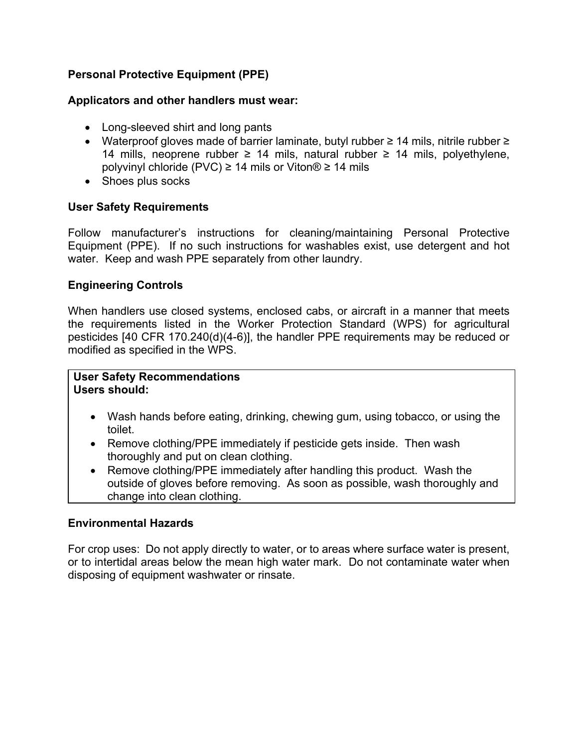# **Personal Protective Equipment (PPE)**

### **Applicators and other handlers must wear:**

- Long-sleeved shirt and long pants
- Waterproof gloves made of barrier laminate, butyl rubber ≥ 14 mils, nitrile rubber ≥ 14 mills, neoprene rubber ≥ 14 mils, natural rubber ≥ 14 mils, polyethylene, polyvinyl chloride (PVC) ≥ 14 mils or Viton® ≥ 14 mils
- Shoes plus socks

### **User Safety Requirements**

Follow manufacturer's instructions for cleaning/maintaining Personal Protective Equipment (PPE). If no such instructions for washables exist, use detergent and hot water. Keep and wash PPE separately from other laundry.

### **Engineering Controls**

When handlers use closed systems, enclosed cabs, or aircraft in a manner that meets the requirements listed in the Worker Protection Standard (WPS) for agricultural pesticides [40 CFR 170.240(d)(4-6)], the handler PPE requirements may be reduced or modified as specified in the WPS.

### **User Safety Recommendations Users should:**

- Wash hands before eating, drinking, chewing gum, using tobacco, or using the toilet.
- Remove clothing/PPE immediately if pesticide gets inside. Then wash thoroughly and put on clean clothing.
- Remove clothing/PPE immediately after handling this product. Wash the outside of gloves before removing. As soon as possible, wash thoroughly and change into clean clothing.

### **Environmental Hazards**

For crop uses: Do not apply directly to water, or to areas where surface water is present, or to intertidal areas below the mean high water mark. Do not contaminate water when disposing of equipment washwater or rinsate.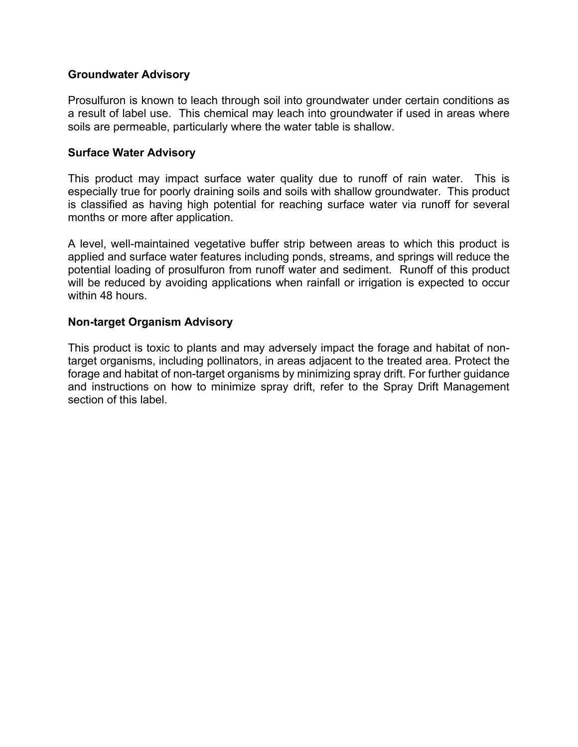### **Groundwater Advisory**

Prosulfuron is known to leach through soil into groundwater under certain conditions as a result of label use. This chemical may leach into groundwater if used in areas where soils are permeable, particularly where the water table is shallow.

# **Surface Water Advisory**

This product may impact surface water quality due to runoff of rain water. This is especially true for poorly draining soils and soils with shallow groundwater. This product is classified as having high potential for reaching surface water via runoff for several months or more after application.

A level, well-maintained vegetative buffer strip between areas to which this product is applied and surface water features including ponds, streams, and springs will reduce the potential loading of prosulfuron from runoff water and sediment. Runoff of this product will be reduced by avoiding applications when rainfall or irrigation is expected to occur within 48 hours.

### **Non-target Organism Advisory**

This product is toxic to plants and may adversely impact the forage and habitat of nontarget organisms, including pollinators, in areas adjacent to the treated area. Protect the forage and habitat of non-target organisms by minimizing spray drift. For further guidance and instructions on how to minimize spray drift, refer to the Spray Drift Management section of this label.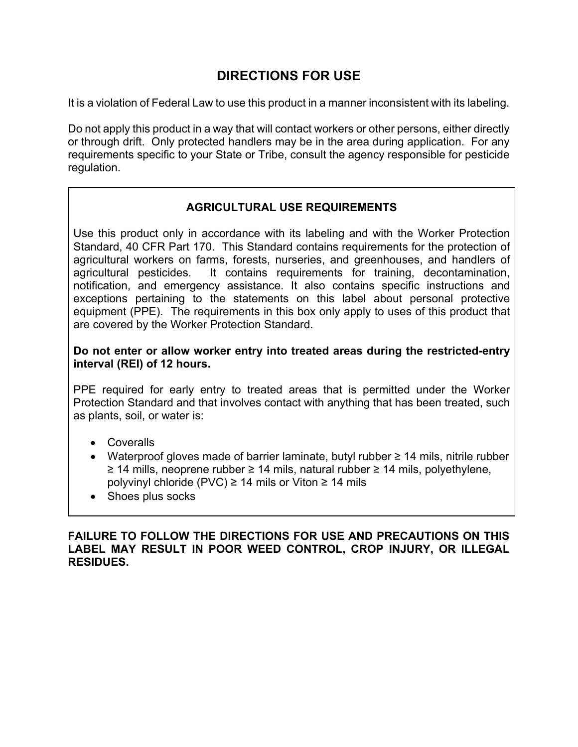# **DIRECTIONS FOR USE**

It is a violation of Federal Law to use this product in a manner inconsistent with its labeling.

Do not apply this product in a way that will contact workers or other persons, either directly or through drift. Only protected handlers may be in the area during application. For any requirements specific to your State or Tribe, consult the agency responsible for pesticide regulation.

# **AGRICULTURAL USE REQUIREMENTS**

Use this product only in accordance with its labeling and with the Worker Protection Standard, 40 CFR Part 170. This Standard contains requirements for the protection of agricultural workers on farms, forests, nurseries, and greenhouses, and handlers of agricultural pesticides. It contains requirements for training, decontamination, notification, and emergency assistance. It also contains specific instructions and exceptions pertaining to the statements on this label about personal protective equipment (PPE). The requirements in this box only apply to uses of this product that are covered by the Worker Protection Standard.

**Do not enter or allow worker entry into treated areas during the restricted-entry interval (REI) of 12 hours.** 

PPE required for early entry to treated areas that is permitted under the Worker Protection Standard and that involves contact with anything that has been treated, such as plants, soil, or water is:

- Coveralls
- Waterproof gloves made of barrier laminate, butyl rubber ≥ 14 mils, nitrile rubber ≥ 14 mills, neoprene rubber ≥ 14 mils, natural rubber ≥ 14 mils, polyethylene, polyvinyl chloride (PVC) ≥ 14 mils or Viton ≥ 14 mils
- Shoes plus socks

**FAILURE TO FOLLOW THE DIRECTIONS FOR USE AND PRECAUTIONS ON THIS LABEL MAY RESULT IN POOR WEED CONTROL, CROP INJURY, OR ILLEGAL RESIDUES.**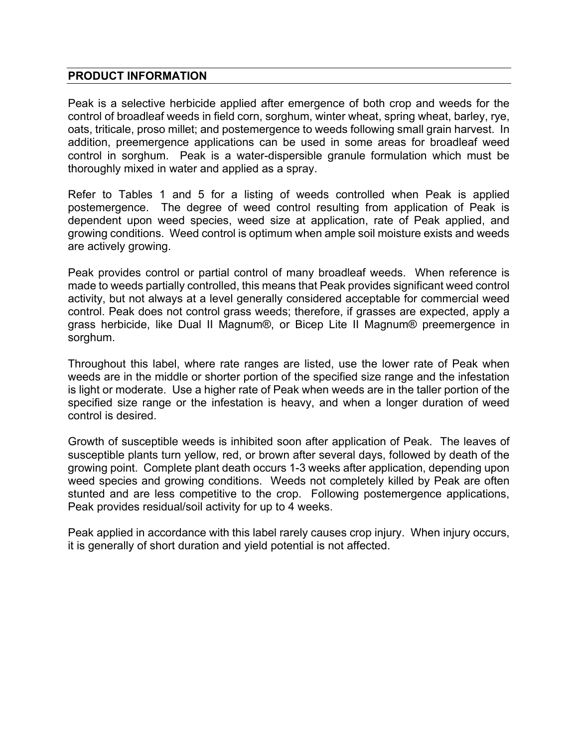### **PRODUCT INFORMATION**

Peak is a selective herbicide applied after emergence of both crop and weeds for the control of broadleaf weeds in field corn, sorghum, winter wheat, spring wheat, barley, rye, oats, triticale, proso millet; and postemergence to weeds following small grain harvest. In addition, preemergence applications can be used in some areas for broadleaf weed control in sorghum. Peak is a water-dispersible granule formulation which must be thoroughly mixed in water and applied as a spray.

Refer to Tables 1 and 5 for a listing of weeds controlled when Peak is applied postemergence. The degree of weed control resulting from application of Peak is dependent upon weed species, weed size at application, rate of Peak applied, and growing conditions. Weed control is optimum when ample soil moisture exists and weeds are actively growing.

Peak provides control or partial control of many broadleaf weeds. When reference is made to weeds partially controlled, this means that Peak provides significant weed control activity, but not always at a level generally considered acceptable for commercial weed control. Peak does not control grass weeds; therefore, if grasses are expected, apply a grass herbicide, like Dual II Magnum®, or Bicep Lite II Magnum® preemergence in sorghum.

Throughout this label, where rate ranges are listed, use the lower rate of Peak when weeds are in the middle or shorter portion of the specified size range and the infestation is light or moderate. Use a higher rate of Peak when weeds are in the taller portion of the specified size range or the infestation is heavy, and when a longer duration of weed control is desired.

Growth of susceptible weeds is inhibited soon after application of Peak. The leaves of susceptible plants turn yellow, red, or brown after several days, followed by death of the growing point. Complete plant death occurs 1-3 weeks after application, depending upon weed species and growing conditions. Weeds not completely killed by Peak are often stunted and are less competitive to the crop. Following postemergence applications, Peak provides residual/soil activity for up to 4 weeks.

Peak applied in accordance with this label rarely causes crop injury. When injury occurs, it is generally of short duration and yield potential is not affected.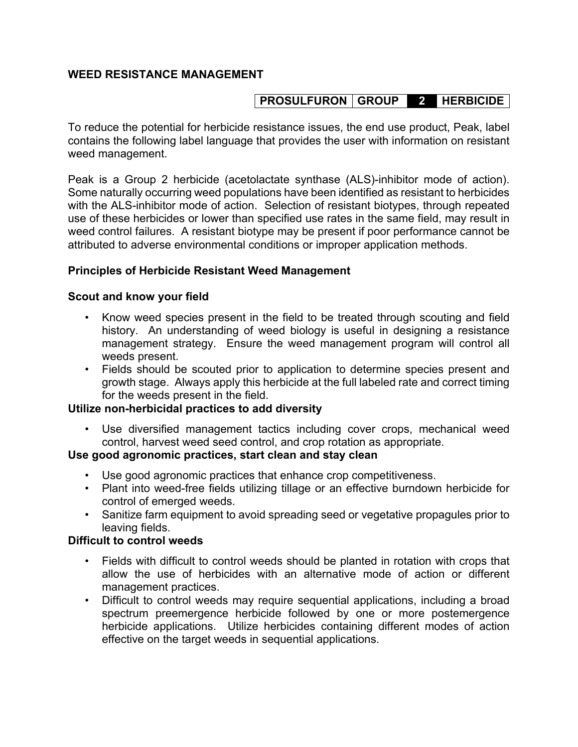# **WEED RESISTANCE MANAGEMENT**

# **PROSULFURON GROUP 2 HERBICIDE**

To reduce the potential for herbicide resistance issues, the end use product, Peak, label contains the following label language that provides the user with information on resistant weed management.

Peak is a Group 2 herbicide (acetolactate synthase (ALS)-inhibitor mode of action). Some naturally occurring weed populations have been identified as resistant to herbicides with the ALS-inhibitor mode of action. Selection of resistant biotypes, through repeated use of these herbicides or lower than specified use rates in the same field, may result in weed control failures. A resistant biotype may be present if poor performance cannot be attributed to adverse environmental conditions or improper application methods.

### **Principles of Herbicide Resistant Weed Management**

### **Scout and know your field**

- Know weed species present in the field to be treated through scouting and field history. An understanding of weed biology is useful in designing a resistance management strategy. Ensure the weed management program will control all weeds present.
- Fields should be scouted prior to application to determine species present and growth stage. Always apply this herbicide at the full labeled rate and correct timing for the weeds present in the field.

### **Utilize non-herbicidal practices to add diversity**

• Use diversified management tactics including cover crops, mechanical weed control, harvest weed seed control, and crop rotation as appropriate.

### **Use good agronomic practices, start clean and stay clean**

- Use good agronomic practices that enhance crop competitiveness.
- Plant into weed-free fields utilizing tillage or an effective burndown herbicide for control of emerged weeds.
- Sanitize farm equipment to avoid spreading seed or vegetative propagules prior to leaving fields.

### **Difficult to control weeds**

- Fields with difficult to control weeds should be planted in rotation with crops that allow the use of herbicides with an alternative mode of action or different management practices.
- Difficult to control weeds may require sequential applications, including a broad spectrum preemergence herbicide followed by one or more postemergence herbicide applications. Utilize herbicides containing different modes of action effective on the target weeds in sequential applications.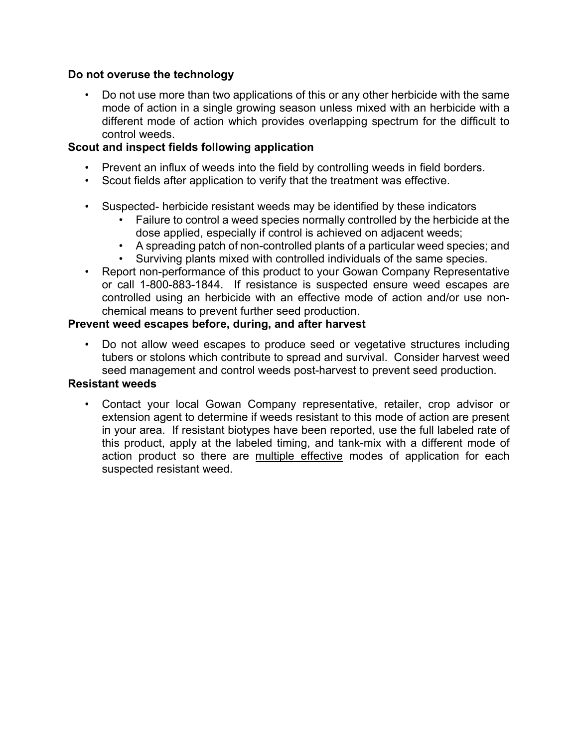### **Do not overuse the technology**

• Do not use more than two applications of this or any other herbicide with the same mode of action in a single growing season unless mixed with an herbicide with a different mode of action which provides overlapping spectrum for the difficult to control weeds.

# **Scout and inspect fields following application**

- Prevent an influx of weeds into the field by controlling weeds in field borders.
- Scout fields after application to verify that the treatment was effective.
- Suspected- herbicide resistant weeds may be identified by these indicators
	- Failure to control a weed species normally controlled by the herbicide at the dose applied, especially if control is achieved on adjacent weeds;
	- A spreading patch of non-controlled plants of a particular weed species; and
	- Surviving plants mixed with controlled individuals of the same species.
- Report non-performance of this product to your Gowan Company Representative or call 1-800-883-1844. If resistance is suspected ensure weed escapes are controlled using an herbicide with an effective mode of action and/or use nonchemical means to prevent further seed production.

### **Prevent weed escapes before, during, and after harvest**

• Do not allow weed escapes to produce seed or vegetative structures including tubers or stolons which contribute to spread and survival. Consider harvest weed seed management and control weeds post-harvest to prevent seed production.

### **Resistant weeds**

• Contact your local Gowan Company representative, retailer, crop advisor or extension agent to determine if weeds resistant to this mode of action are present in your area. If resistant biotypes have been reported, use the full labeled rate of this product, apply at the labeled timing, and tank-mix with a different mode of action product so there are multiple effective modes of application for each suspected resistant weed.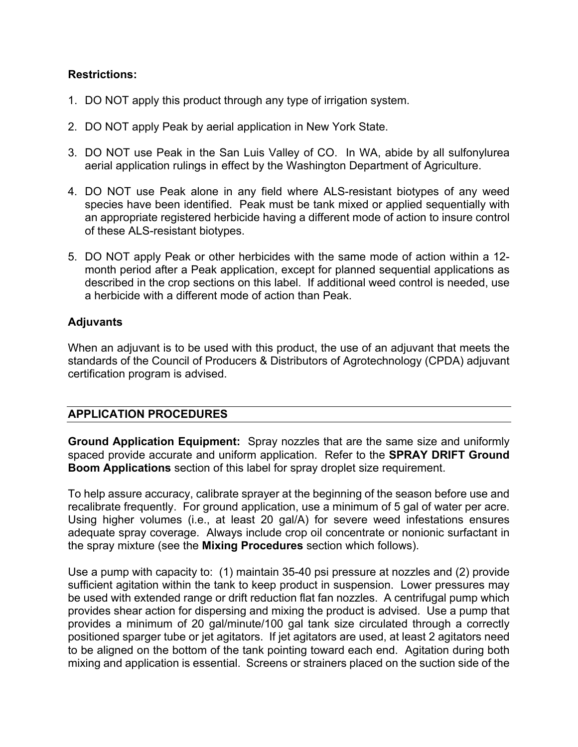# **Restrictions:**

- 1. DO NOT apply this product through any type of irrigation system.
- 2. DO NOT apply Peak by aerial application in New York State.
- 3. DO NOT use Peak in the San Luis Valley of CO. In WA, abide by all sulfonylurea aerial application rulings in effect by the Washington Department of Agriculture.
- 4. DO NOT use Peak alone in any field where ALS-resistant biotypes of any weed species have been identified. Peak must be tank mixed or applied sequentially with an appropriate registered herbicide having a different mode of action to insure control of these ALS-resistant biotypes.
- 5. DO NOT apply Peak or other herbicides with the same mode of action within a 12 month period after a Peak application, except for planned sequential applications as described in the crop sections on this label. If additional weed control is needed, use a herbicide with a different mode of action than Peak.

### **Adjuvants**

When an adjuvant is to be used with this product, the use of an adjuvant that meets the standards of the Council of Producers & Distributors of Agrotechnology (CPDA) adjuvant certification program is advised.

# **APPLICATION PROCEDURES**

**Ground Application Equipment:** Spray nozzles that are the same size and uniformly spaced provide accurate and uniform application. Refer to the **SPRAY DRIFT Ground Boom Applications** section of this label for spray droplet size requirement.

To help assure accuracy, calibrate sprayer at the beginning of the season before use and recalibrate frequently. For ground application, use a minimum of 5 gal of water per acre. Using higher volumes (i.e., at least 20 gal/A) for severe weed infestations ensures adequate spray coverage. Always include crop oil concentrate or nonionic surfactant in the spray mixture (see the **Mixing Procedures** section which follows).

Use a pump with capacity to: (1) maintain 35-40 psi pressure at nozzles and (2) provide sufficient agitation within the tank to keep product in suspension. Lower pressures may be used with extended range or drift reduction flat fan nozzles. A centrifugal pump which provides shear action for dispersing and mixing the product is advised. Use a pump that provides a minimum of 20 gal/minute/100 gal tank size circulated through a correctly positioned sparger tube or jet agitators. If jet agitators are used, at least 2 agitators need to be aligned on the bottom of the tank pointing toward each end. Agitation during both mixing and application is essential. Screens or strainers placed on the suction side of the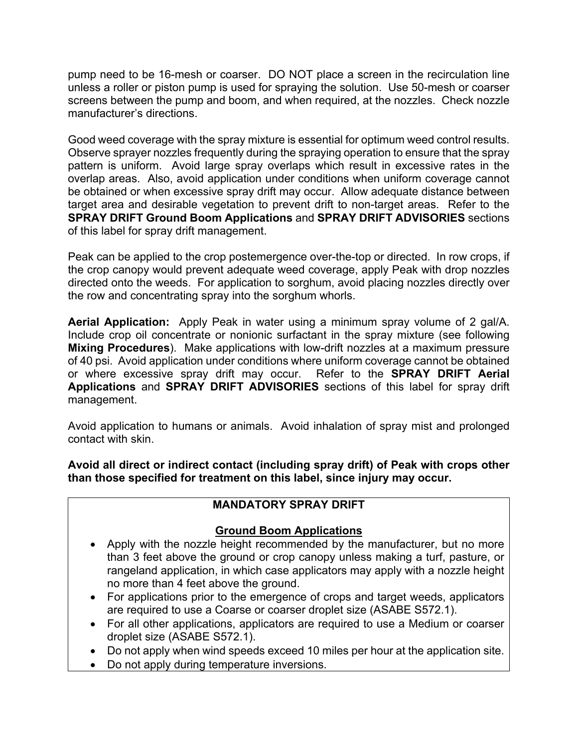pump need to be 16-mesh or coarser. DO NOT place a screen in the recirculation line unless a roller or piston pump is used for spraying the solution. Use 50-mesh or coarser screens between the pump and boom, and when required, at the nozzles. Check nozzle manufacturer's directions.

Good weed coverage with the spray mixture is essential for optimum weed control results. Observe sprayer nozzles frequently during the spraying operation to ensure that the spray pattern is uniform. Avoid large spray overlaps which result in excessive rates in the overlap areas. Also, avoid application under conditions when uniform coverage cannot be obtained or when excessive spray drift may occur. Allow adequate distance between target area and desirable vegetation to prevent drift to non-target areas. Refer to the **SPRAY DRIFT Ground Boom Applications** and **SPRAY DRIFT ADVISORIES** sections of this label for spray drift management.

Peak can be applied to the crop postemergence over-the-top or directed. In row crops, if the crop canopy would prevent adequate weed coverage, apply Peak with drop nozzles directed onto the weeds. For application to sorghum, avoid placing nozzles directly over the row and concentrating spray into the sorghum whorls.

**Aerial Application:** Apply Peak in water using a minimum spray volume of 2 gal/A. Include crop oil concentrate or nonionic surfactant in the spray mixture (see following **Mixing Procedures**). Make applications with low-drift nozzles at a maximum pressure of 40 psi. Avoid application under conditions where uniform coverage cannot be obtained or where excessive spray drift may occur. Refer to the **SPRAY DRIFT Aerial Applications** and **SPRAY DRIFT ADVISORIES** sections of this label for spray drift management.

Avoid application to humans or animals. Avoid inhalation of spray mist and prolonged contact with skin.

**Avoid all direct or indirect contact (including spray drift) of Peak with crops other than those specified for treatment on this label, since injury may occur.** 

# **MANDATORY SPRAY DRIFT**

# **Ground Boom Applications**

- Apply with the nozzle height recommended by the manufacturer, but no more than 3 feet above the ground or crop canopy unless making a turf, pasture, or rangeland application, in which case applicators may apply with a nozzle height no more than 4 feet above the ground.
- For applications prior to the emergence of crops and target weeds, applicators are required to use a Coarse or coarser droplet size (ASABE S572.1).
- For all other applications, applicators are required to use a Medium or coarser droplet size (ASABE S572.1).
- Do not apply when wind speeds exceed 10 miles per hour at the application site.
- Do not apply during temperature inversions.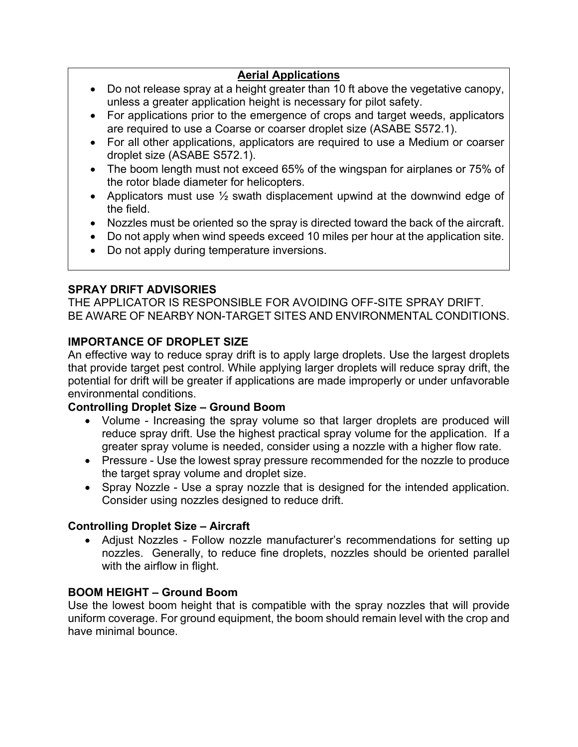# **Aerial Applications**

- Do not release spray at a height greater than 10 ft above the vegetative canopy, unless a greater application height is necessary for pilot safety.
- For applications prior to the emergence of crops and target weeds, applicators are required to use a Coarse or coarser droplet size (ASABE S572.1).
- For all other applications, applicators are required to use a Medium or coarser droplet size (ASABE S572.1).
- The boom length must not exceed 65% of the wingspan for airplanes or 75% of the rotor blade diameter for helicopters.
- Applicators must use  $\frac{1}{2}$  swath displacement upwind at the downwind edge of the field.
- Nozzles must be oriented so the spray is directed toward the back of the aircraft.
- Do not apply when wind speeds exceed 10 miles per hour at the application site.
- Do not apply during temperature inversions.

# **SPRAY DRIFT ADVISORIES**

THE APPLICATOR IS RESPONSIBLE FOR AVOIDING OFF-SITE SPRAY DRIFT. BE AWARE OF NEARBY NON-TARGET SITES AND ENVIRONMENTAL CONDITIONS.

# **IMPORTANCE OF DROPLET SIZE**

An effective way to reduce spray drift is to apply large droplets. Use the largest droplets that provide target pest control. While applying larger droplets will reduce spray drift, the potential for drift will be greater if applications are made improperly or under unfavorable environmental conditions.

# **Controlling Droplet Size – Ground Boom**

- Volume Increasing the spray volume so that larger droplets are produced will reduce spray drift. Use the highest practical spray volume for the application. If a greater spray volume is needed, consider using a nozzle with a higher flow rate.
- Pressure Use the lowest spray pressure recommended for the nozzle to produce the target spray volume and droplet size.
- Spray Nozzle Use a spray nozzle that is designed for the intended application. Consider using nozzles designed to reduce drift.

# **Controlling Droplet Size – Aircraft**

 Adjust Nozzles - Follow nozzle manufacturer's recommendations for setting up nozzles. Generally, to reduce fine droplets, nozzles should be oriented parallel with the airflow in flight.

# **BOOM HEIGHT – Ground Boom**

Use the lowest boom height that is compatible with the spray nozzles that will provide uniform coverage. For ground equipment, the boom should remain level with the crop and have minimal bounce.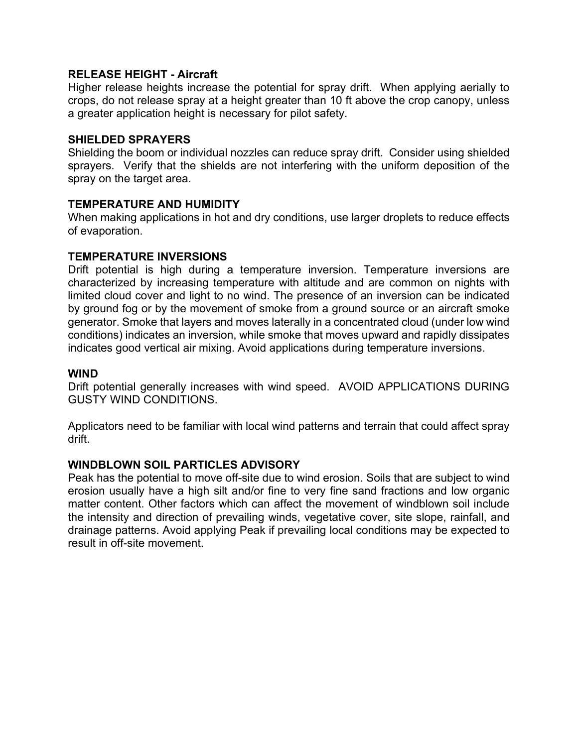### **RELEASE HEIGHT - Aircraft**

Higher release heights increase the potential for spray drift. When applying aerially to crops, do not release spray at a height greater than 10 ft above the crop canopy, unless a greater application height is necessary for pilot safety.

### **SHIELDED SPRAYERS**

Shielding the boom or individual nozzles can reduce spray drift. Consider using shielded sprayers. Verify that the shields are not interfering with the uniform deposition of the spray on the target area.

### **TEMPERATURE AND HUMIDITY**

When making applications in hot and dry conditions, use larger droplets to reduce effects of evaporation.

### **TEMPERATURE INVERSIONS**

Drift potential is high during a temperature inversion. Temperature inversions are characterized by increasing temperature with altitude and are common on nights with limited cloud cover and light to no wind. The presence of an inversion can be indicated by ground fog or by the movement of smoke from a ground source or an aircraft smoke generator. Smoke that layers and moves laterally in a concentrated cloud (under low wind conditions) indicates an inversion, while smoke that moves upward and rapidly dissipates indicates good vertical air mixing. Avoid applications during temperature inversions.

### **WIND**

Drift potential generally increases with wind speed. AVOID APPLICATIONS DURING GUSTY WIND CONDITIONS.

Applicators need to be familiar with local wind patterns and terrain that could affect spray drift.

### **WINDBLOWN SOIL PARTICLES ADVISORY**

Peak has the potential to move off-site due to wind erosion. Soils that are subject to wind erosion usually have a high silt and/or fine to very fine sand fractions and low organic matter content. Other factors which can affect the movement of windblown soil include the intensity and direction of prevailing winds, vegetative cover, site slope, rainfall, and drainage patterns. Avoid applying Peak if prevailing local conditions may be expected to result in off-site movement.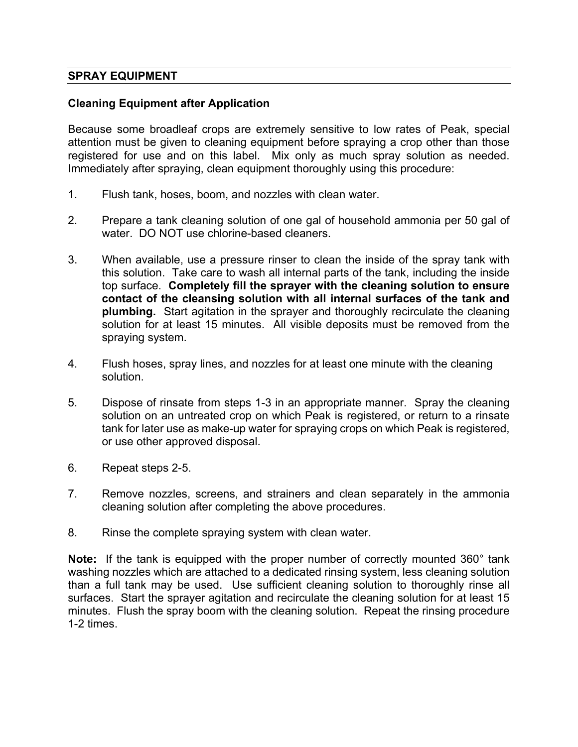### **SPRAY EQUIPMENT**

### **Cleaning Equipment after Application**

Because some broadleaf crops are extremely sensitive to low rates of Peak, special attention must be given to cleaning equipment before spraying a crop other than those registered for use and on this label. Mix only as much spray solution as needed. Immediately after spraying, clean equipment thoroughly using this procedure:

- 1. Flush tank, hoses, boom, and nozzles with clean water.
- 2. Prepare a tank cleaning solution of one gal of household ammonia per 50 gal of water. DO NOT use chlorine-based cleaners.
- 3. When available, use a pressure rinser to clean the inside of the spray tank with this solution. Take care to wash all internal parts of the tank, including the inside top surface. **Completely fill the sprayer with the cleaning solution to ensure contact of the cleansing solution with all internal surfaces of the tank and plumbing.** Start agitation in the sprayer and thoroughly recirculate the cleaning solution for at least 15 minutes. All visible deposits must be removed from the spraying system.
- 4. Flush hoses, spray lines, and nozzles for at least one minute with the cleaning solution.
- 5. Dispose of rinsate from steps 1-3 in an appropriate manner. Spray the cleaning solution on an untreated crop on which Peak is registered, or return to a rinsate tank for later use as make-up water for spraying crops on which Peak is registered, or use other approved disposal.
- 6. Repeat steps 2-5.
- 7. Remove nozzles, screens, and strainers and clean separately in the ammonia cleaning solution after completing the above procedures.
- 8. Rinse the complete spraying system with clean water.

**Note:** If the tank is equipped with the proper number of correctly mounted 360° tank washing nozzles which are attached to a dedicated rinsing system, less cleaning solution than a full tank may be used. Use sufficient cleaning solution to thoroughly rinse all surfaces. Start the sprayer agitation and recirculate the cleaning solution for at least 15 minutes. Flush the spray boom with the cleaning solution. Repeat the rinsing procedure 1-2 times.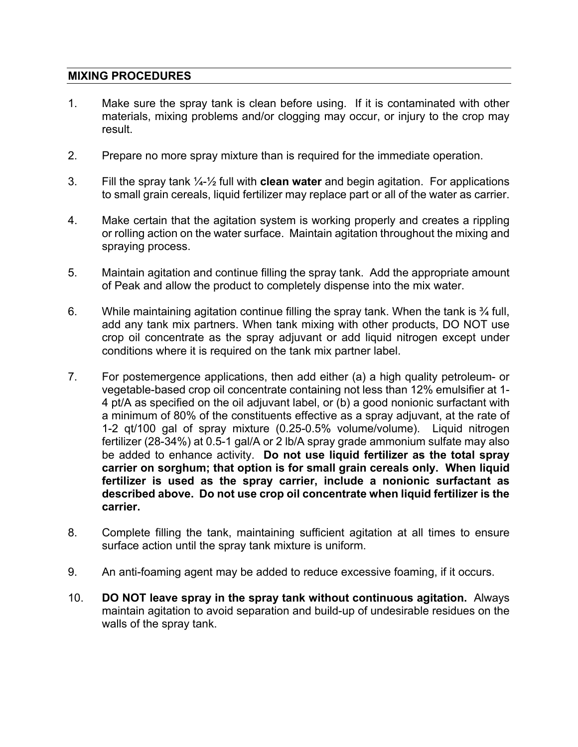### **MIXING PROCEDURES**

- 1. Make sure the spray tank is clean before using. If it is contaminated with other materials, mixing problems and/or clogging may occur, or injury to the crop may result.
- 2. Prepare no more spray mixture than is required for the immediate operation.
- 3. Fill the spray tank ¼-½ full with **clean water** and begin agitation. For applications to small grain cereals, liquid fertilizer may replace part or all of the water as carrier.
- 4. Make certain that the agitation system is working properly and creates a rippling or rolling action on the water surface. Maintain agitation throughout the mixing and spraying process.
- 5. Maintain agitation and continue filling the spray tank. Add the appropriate amount of Peak and allow the product to completely dispense into the mix water.
- 6. While maintaining agitation continue filling the spray tank. When the tank is  $\frac{3}{4}$  full, add any tank mix partners. When tank mixing with other products, DO NOT use crop oil concentrate as the spray adjuvant or add liquid nitrogen except under conditions where it is required on the tank mix partner label.
- 7. For postemergence applications, then add either (a) a high quality petroleum- or vegetable-based crop oil concentrate containing not less than 12% emulsifier at 1- 4 pt/A as specified on the oil adjuvant label, or (b) a good nonionic surfactant with a minimum of 80% of the constituents effective as a spray adjuvant, at the rate of 1-2 qt/100 gal of spray mixture (0.25-0.5% volume/volume). Liquid nitrogen fertilizer (28-34%) at 0.5-1 gal/A or 2 lb/A spray grade ammonium sulfate may also be added to enhance activity. **Do not use liquid fertilizer as the total spray carrier on sorghum; that option is for small grain cereals only. When liquid fertilizer is used as the spray carrier, include a nonionic surfactant as described above. Do not use crop oil concentrate when liquid fertilizer is the carrier.**
- 8. Complete filling the tank, maintaining sufficient agitation at all times to ensure surface action until the spray tank mixture is uniform.
- 9. An anti-foaming agent may be added to reduce excessive foaming, if it occurs.
- 10. **DO NOT leave spray in the spray tank without continuous agitation.** Always maintain agitation to avoid separation and build-up of undesirable residues on the walls of the spray tank.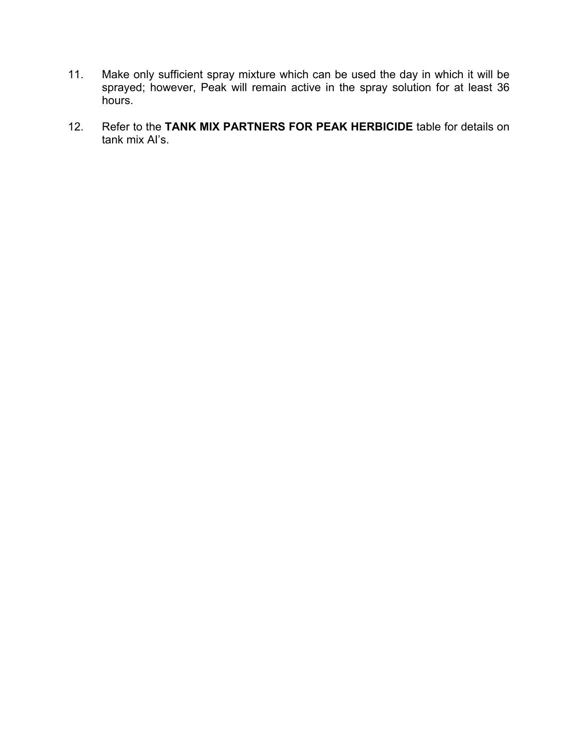- 11. Make only sufficient spray mixture which can be used the day in which it will be sprayed; however, Peak will remain active in the spray solution for at least 36 hours.
- 12. Refer to the **TANK MIX PARTNERS FOR PEAK HERBICIDE** table for details on tank mix AI's.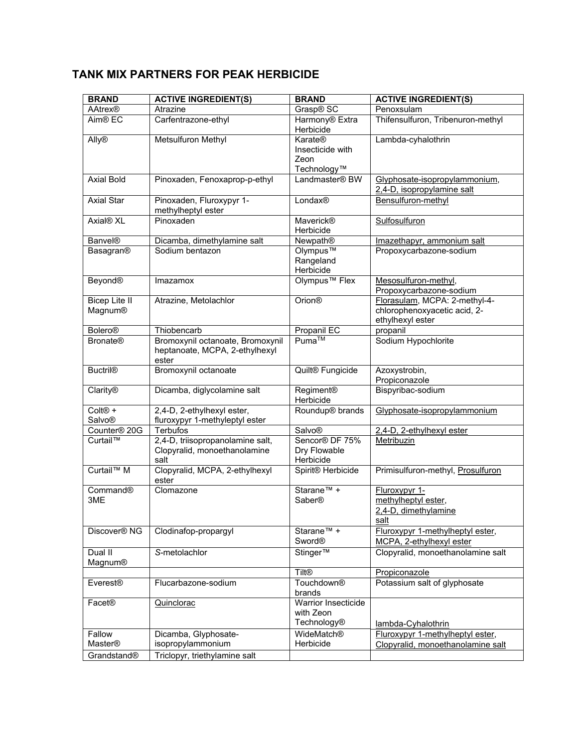# **TANK MIX PARTNERS FOR PEAK HERBICIDE**

| <b>BRAND</b>                    | <b>ACTIVE INGREDIENT(S)</b>                                                 | <b>BRAND</b>                                       | <b>ACTIVE INGREDIENT(S)</b>                                                       |
|---------------------------------|-----------------------------------------------------------------------------|----------------------------------------------------|-----------------------------------------------------------------------------------|
| AAtrex®                         | Atrazine                                                                    | Grasp® SC                                          | Penoxsulam                                                                        |
| Aim <sup>®</sup> EC             | Carfentrazone-ethyl                                                         | Harmony <sup>®</sup> Extra<br>Herbicide            | Thifensulfuron, Tribenuron-methyl                                                 |
| Ally <sup>®</sup>               | Metsulfuron Methyl                                                          | Karate®<br>Insecticide with<br>Zeon<br>Technology™ | Lambda-cyhalothrin                                                                |
| <b>Axial Bold</b>               | Pinoxaden, Fenoxaprop-p-ethyl                                               | Landmaster® BW                                     | Glyphosate-isopropylammonium,<br>2,4-D, isopropylamine salt                       |
| <b>Axial Star</b>               | Pinoxaden, Fluroxypyr 1-<br>methylheptyl ester                              | Londax®                                            | Bensulfuron-methyl                                                                |
| Axial <sup>®</sup> XL           | Pinoxaden                                                                   | <b>Maverick®</b><br>Herbicide                      | Sulfosulfuron                                                                     |
| <b>Banvel®</b>                  | Dicamba, dimethylamine salt                                                 | Newpath®                                           | Imazethapyr, ammonium salt                                                        |
| Basagran®                       | Sodium bentazon                                                             | Olympus™<br>Rangeland<br>Herbicide                 | Propoxycarbazone-sodium                                                           |
| <b>Beyond®</b>                  | Imazamox                                                                    | Olympus <sup>™</sup> Flex                          | Mesosulfuron-methyl,<br>Propoxycarbazone-sodium                                   |
| <b>Bicep Lite II</b><br>Magnum® | Atrazine, Metolachlor                                                       | <b>Orion®</b>                                      | Florasulam, MCPA: 2-methyl-4-<br>chlorophenoxyacetic acid, 2-<br>ethylhexyl ester |
| <b>Bolero®</b>                  | Thiobencarb                                                                 | Propanil EC                                        | propanil                                                                          |
| <b>Bronate®</b>                 | Bromoxynil octanoate, Bromoxynil<br>heptanoate, MCPA, 2-ethylhexyl<br>ester | Puma™                                              | Sodium Hypochlorite                                                               |
| <b>Buctril®</b>                 | Bromoxynil octanoate                                                        | Quilt <sup>®</sup> Fungicide                       | Azoxystrobin,<br>Propiconazole                                                    |
| Clarity®                        | Dicamba, diglycolamine salt                                                 | Regiment®<br>Herbicide                             | Bispyribac-sodium                                                                 |
| Colt <sup>®</sup> +<br>Salvo®   | 2,4-D, 2-ethylhexyl ester,<br>fluroxypyr 1-methyleptyl ester                | Roundup <sup>®</sup> brands                        | Glyphosate-isopropylammonium                                                      |
| Counter <sup>®</sup> 20G        | Terbufos                                                                    | Salvo®                                             | 2,4-D, 2-ethylhexyl ester                                                         |
| Curtail™                        | 2,4-D, triisopropanolamine salt,<br>Clopyralid, monoethanolamine<br>salt    | Sencor® DF 75%<br>Dry Flowable<br>Herbicide        | Metribuzin                                                                        |
| Curtail <sup>™</sup> M          | Clopyralid, MCPA, 2-ethylhexyl<br>ester                                     | Spirit® Herbicide                                  | Primisulfuron-methyl, Prosulfuron                                                 |
| Command®<br>3ME                 | Clomazone                                                                   | Starane <sup>™</sup> +<br>Saber®                   | Fluroxypyr 1-<br>methylheptyl ester,<br>2,4-D, dimethylamine<br>salt              |
| Discover <sup>®</sup> NG        | Clodinafop-propargyl                                                        | Starane <sup>™</sup> +<br><b>Sword®</b>            | Fluroxypyr 1-methylheptyl ester,<br>MCPA, 2-ethylhexyl ester                      |
| Dual II<br>Magnum®              | S-metolachlor                                                               | Stinger™                                           | Clopyralid, monoethanolamine salt                                                 |
|                                 |                                                                             | <b>Tilt®</b>                                       | Propiconazole                                                                     |
| <b>Everest®</b>                 | Flucarbazone-sodium                                                         | Touchdown <sup>®</sup><br>brands                   | Potassium salt of glyphosate                                                      |
| Facet®                          | Quinclorac                                                                  | Warrior Insecticide<br>with Zeon<br>Technology®    | lambda-Cyhalothrin                                                                |
| Fallow<br>Master®               | Dicamba, Glyphosate-<br>isopropylammonium                                   | WideMatch®<br>Herbicide                            | Fluroxypyr 1-methylheptyl ester,<br>Clopyralid, monoethanolamine salt             |
| Grandstand®                     | Triclopyr, triethylamine salt                                               |                                                    |                                                                                   |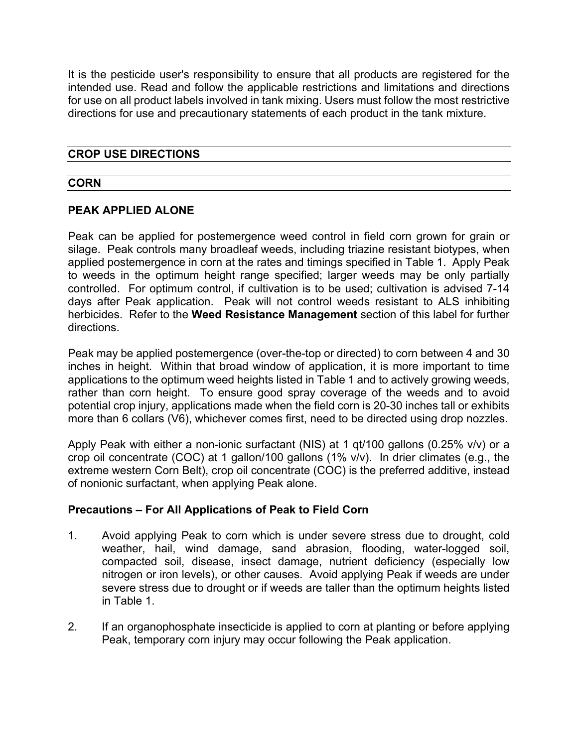It is the pesticide user's responsibility to ensure that all products are registered for the intended use. Read and follow the applicable restrictions and limitations and directions for use on all product labels involved in tank mixing. Users must follow the most restrictive directions for use and precautionary statements of each product in the tank mixture.

### **CROP USE DIRECTIONS**

### **CORN**

### **PEAK APPLIED ALONE**

Peak can be applied for postemergence weed control in field corn grown for grain or silage. Peak controls many broadleaf weeds, including triazine resistant biotypes, when applied postemergence in corn at the rates and timings specified in Table 1. Apply Peak to weeds in the optimum height range specified; larger weeds may be only partially controlled. For optimum control, if cultivation is to be used; cultivation is advised 7-14 days after Peak application. Peak will not control weeds resistant to ALS inhibiting herbicides. Refer to the **Weed Resistance Management** section of this label for further directions.

Peak may be applied postemergence (over-the-top or directed) to corn between 4 and 30 inches in height. Within that broad window of application, it is more important to time applications to the optimum weed heights listed in Table 1 and to actively growing weeds, rather than corn height. To ensure good spray coverage of the weeds and to avoid potential crop injury, applications made when the field corn is 20-30 inches tall or exhibits more than 6 collars (V6), whichever comes first, need to be directed using drop nozzles.

Apply Peak with either a non-ionic surfactant (NIS) at 1 qt/100 gallons (0.25% v/v) or a crop oil concentrate (COC) at 1 gallon/100 gallons (1% v/v). In drier climates (e.g., the extreme western Corn Belt), crop oil concentrate (COC) is the preferred additive, instead of nonionic surfactant, when applying Peak alone.

### **Precautions – For All Applications of Peak to Field Corn**

- 1. Avoid applying Peak to corn which is under severe stress due to drought, cold weather, hail, wind damage, sand abrasion, flooding, water-logged soil, compacted soil, disease, insect damage, nutrient deficiency (especially low nitrogen or iron levels), or other causes. Avoid applying Peak if weeds are under severe stress due to drought or if weeds are taller than the optimum heights listed in Table 1.
- 2. If an organophosphate insecticide is applied to corn at planting or before applying Peak, temporary corn injury may occur following the Peak application.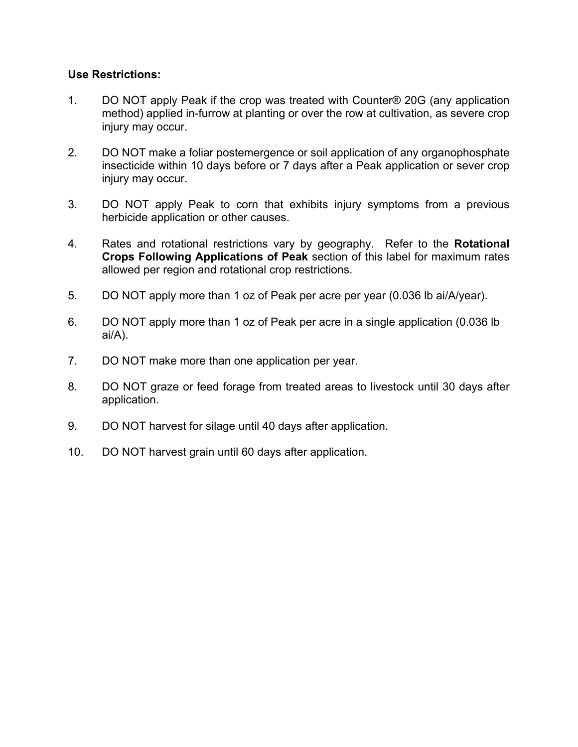### **Use Restrictions:**

- 1. DO NOT apply Peak if the crop was treated with Counter® 20G (any application method) applied in-furrow at planting or over the row at cultivation, as severe crop injury may occur.
- 2. DO NOT make a foliar postemergence or soil application of any organophosphate insecticide within 10 days before or 7 days after a Peak application or sever crop injury may occur.
- 3. DO NOT apply Peak to corn that exhibits injury symptoms from a previous herbicide application or other causes.
- 4. Rates and rotational restrictions vary by geography. Refer to the **Rotational Crops Following Applications of Peak** section of this label for maximum rates allowed per region and rotational crop restrictions.
- 5. DO NOT apply more than 1 oz of Peak per acre per year (0.036 lb ai/A/year).
- 6. DO NOT apply more than 1 oz of Peak per acre in a single application (0.036 lb ai/A).
- 7. DO NOT make more than one application per year.
- 8. DO NOT graze or feed forage from treated areas to livestock until 30 days after application.
- 9. DO NOT harvest for silage until 40 days after application.
- 10. DO NOT harvest grain until 60 days after application.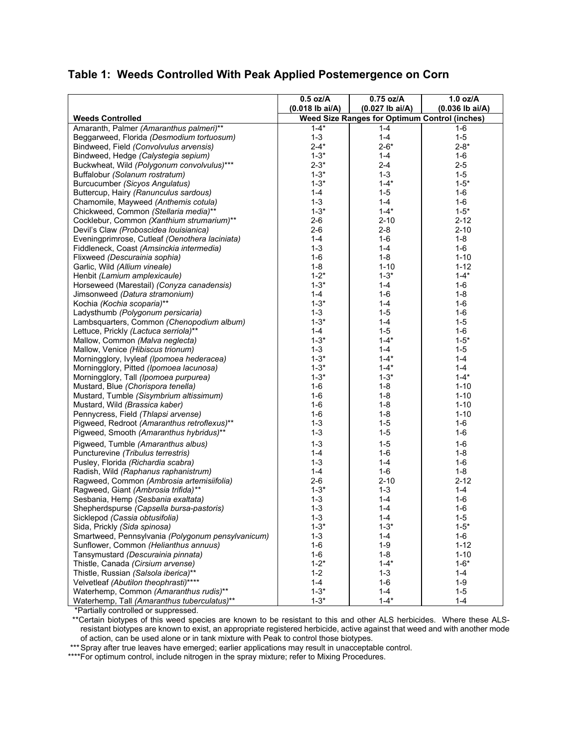# **Table 1: Weeds Controlled With Peak Applied Postemergence on Corn**

|                                                                               | $0.5$ oz/A                                           | $0.75$ oz/A         | $1.0$ oz/A         |  |
|-------------------------------------------------------------------------------|------------------------------------------------------|---------------------|--------------------|--|
|                                                                               | $(0.018$ lb ai/A)                                    | $(0.027$ lb ai/A)   | $(0.036$ lb ai/A)  |  |
| <b>Weeds Controlled</b>                                                       | <b>Weed Size Ranges for Optimum Control (inches)</b> |                     |                    |  |
| Amaranth, Palmer (Amaranthus palmeri)**                                       | $1 - 4*$                                             | $1 - 4$             | $1 - 6$            |  |
| Beggarweed, Florida (Desmodium tortuosum)                                     | $1 - 3$                                              | $1 - 4$             | $1 - 5$            |  |
| Bindweed, Field (Convolvulus arvensis)                                        | $2 - 4*$                                             | $2 - 6*$            | $2 - 8*$           |  |
| Bindweed, Hedge (Calystegia sepium)                                           | $1 - 3*$                                             | $1 - 4$             | $1-6$              |  |
| Buckwheat, Wild (Polygonum convolvulus)***                                    | $2 - 3*$                                             | $2 - 4$             | $2 - 5$            |  |
| Buffalobur (Solanum rostratum)                                                | $1 - 3*$                                             | $1 - 3$             | $1-5$              |  |
| Burcucumber (Sicyos Angulatus)                                                | $1 - 3*$                                             | $1 - 4*$            | $1 - 5*$           |  |
| Buttercup, Hairy (Ranunculus sardous)                                         | $1 - 4$                                              | $1 - 5$             | $1-6$              |  |
| Chamomile, Mayweed (Anthemis cotula)                                          | $1 - 3$                                              | $1 - 4$             | $1-6$              |  |
| Chickweed, Common (Stellaria media)**                                         | $1 - 3*$                                             | $1 - 4*$            | $1 - 5*$           |  |
| Cocklebur, Common (Xanthium strumarium)**                                     | $2 - 6$                                              | $2 - 10$            | $2 - 12$           |  |
| Devil's Claw (Proboscidea Iouisianica)                                        | $2 - 6$                                              | $2 - 8$             | $2 - 10$           |  |
| Eveningprimrose, Cutleaf (Oenothera laciniata)                                | $1 - 4$                                              | 1-6                 | $1 - 8$            |  |
| Fiddleneck, Coast (Amsinckia intermedia)                                      | $1 - 3$                                              | $1 - 4$             | $1-6$              |  |
| Flixweed (Descurainia sophia)                                                 | $1 - 6$                                              | $1 - 8$             | $1 - 10$           |  |
| Garlic, Wild (Allium vineale)                                                 | $1 - 8$                                              | $1 - 10$            | $1 - 12$           |  |
| Henbit (Lamium amplexicaule)                                                  | $1 - 2^*$                                            | $1 - 3*$            | $1 - 4*$           |  |
| Horseweed (Marestail) (Conyza canadensis)                                     | $1 - 3*$                                             | $1 - 4$             | $1-6$              |  |
| Jimsonweed (Datura stramonium)                                                | $1 - 4$                                              | $1 - 6$             | $1 - 8$            |  |
| Kochia (Kochia scoparia)**                                                    | $1 - 3*$                                             | $1 - 4$             | $1-6$              |  |
| Ladysthumb (Polygonum persicaria)                                             | $1 - 3$                                              | $1 - 5$             | $1-6$              |  |
| Lambsquarters, Common (Chenopodium album)                                     | $1 - 3*$                                             | $1 - 4$             | $1 - 5$            |  |
| Lettuce, Prickly (Lactuca serriola)**                                         | $1 - 4$                                              | $1-5$               | $1 - 6$            |  |
| Mallow, Common (Malva neglecta)                                               | $1 - 3*$                                             | $1 - 4*$            | $1 - 5*$           |  |
| Mallow, Venice (Hibiscus trionum)                                             | $1 - 3$                                              | $1 - 4$             | $1 - 5$            |  |
| Morningglory, Ivyleaf (Ipomoea hederacea)                                     | $1 - 3*$                                             | $1 - 4*$            | $1 - 4$            |  |
| Morningglory, Pitted (Ipomoea lacunosa)                                       | $1 - 3*$                                             | $1 - 4*$            | $1 - 4$            |  |
| Morningglory, Tall (Ipomoea purpurea)                                         | $1 - 3*$                                             | $1 - 3*$            | $1 - 4*$           |  |
| Mustard, Blue (Chorispora tenella)                                            | $1-6$                                                | $1 - 8$             | $1 - 10$           |  |
| Mustard, Tumble (Sisymbrium altissimum)                                       | $1 - 6$                                              | $1 - 8$             | $1 - 10$           |  |
| Mustard, Wild (Brassica kaber)                                                | $1 - 6$                                              | $1 - 8$             | $1 - 10$           |  |
| Pennycress, Field (Thlapsi arvense)                                           | $1 - 6$                                              | $1 - 8$             | $1 - 10$           |  |
| Pigweed, Redroot (Amaranthus retroflexus)**                                   | $1 - 3$                                              | $1 - 5$             | $1-6$              |  |
| Pigweed, Smooth (Amaranthus hybridus)**                                       | $1 - 3$                                              | $1 - 5$             | $1-6$              |  |
| Pigweed, Tumble (Amaranthus albus)                                            | $1 - 3$                                              | $1 - 5$             | $1-6$              |  |
| Puncturevine (Tribulus terrestris)                                            | $1 - 4$                                              | $1-6$               | $1 - 8$            |  |
| Pusley, Florida (Richardia scabra)                                            | $1 - 3$                                              | $1 - 4$             | $1-6$              |  |
| Radish, Wild (Raphanus raphanistrum)                                          | $1 - 4$                                              | $1-6$               | $1 - 8$            |  |
| Ragweed, Common (Ambrosia artemisiifolia)                                     | $2 - 6$                                              | $2 - 10$            | $2 - 12$           |  |
| Ragweed, Giant (Ambrosia trifida)**                                           | $1 - 3*$                                             | $1 - 3$             | $1 - 4$            |  |
| Sesbania, Hemp (Sesbania exaltata)                                            | $1 - 3$                                              | $1 - 4$             | $1-6$              |  |
| Shepherdspurse (Capsella bursa-pastoris)                                      | $1 - 3$                                              | $1 - 4$             | $1-6$              |  |
|                                                                               |                                                      |                     |                    |  |
| Sicklepod (Cassia obtusifolia)<br>Sida, Prickly (Sida spinosa)                | 1-3<br>$1 - 3*$                                      | 1-4<br>$1 - 3*$     | 1-5<br>$1 - 5*$    |  |
|                                                                               | $1 - 3$                                              |                     | $1-6$              |  |
| Smartweed, Pennsylvania (Polygonum pensylvanicum)                             | $1 - 6$                                              | 1-4<br>$1 - 9$      | $1 - 12$           |  |
| Sunflower, Common (Helianthus annuus)                                         |                                                      |                     |                    |  |
| Tansymustard (Descurainia pinnata)                                            | 1-6                                                  | $1 - 8$<br>$1 - 4*$ | $1 - 10$           |  |
| Thistle, Canada (Cirsium arvense)                                             | $1 - 2^*$                                            |                     | $1 - 6*$           |  |
| Thistle, Russian (Salsola iberica)**<br>Velvetleaf (Abutilon theophrasti)**** | $1 - 2$<br>$1 - 4$                                   | $1 - 3$<br>$1-6$    | $1 - 4$<br>$1 - 9$ |  |
|                                                                               | $1 - 3^*$                                            | $1 - 4$             |                    |  |
| Waterhemp, Common (Amaranthus rudis)**                                        |                                                      |                     | $1 - 5$            |  |
| Waterhemp, Tall (Amaranthus tuberculatus)**                                   | $1 - 3*$                                             | $1 - 4*$            | $1 - 4$            |  |

\*Partially controlled or suppressed.

 \*\*Certain biotypes of this weed species are known to be resistant to this and other ALS herbicides. Where these ALSresistant biotypes are known to exist, an appropriate registered herbicide, active against that weed and with another mode of action, can be used alone or in tank mixture with Peak to control those biotypes.

\*\*\* Spray after true leaves have emerged; earlier applications may result in unacceptable control.

\*\*\*\*For optimum control, include nitrogen in the spray mixture; refer to Mixing Procedures.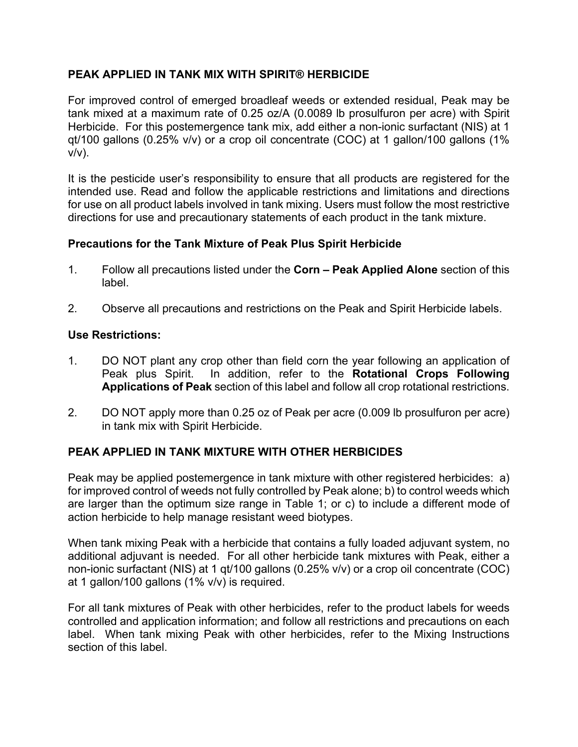# **PEAK APPLIED IN TANK MIX WITH SPIRIT® HERBICIDE**

For improved control of emerged broadleaf weeds or extended residual, Peak may be tank mixed at a maximum rate of 0.25 oz/A (0.0089 lb prosulfuron per acre) with Spirit Herbicide. For this postemergence tank mix, add either a non-ionic surfactant (NIS) at 1 qt/100 gallons (0.25% v/v) or a crop oil concentrate (COC) at 1 gallon/100 gallons (1%  $v/v$ ).

It is the pesticide user's responsibility to ensure that all products are registered for the intended use. Read and follow the applicable restrictions and limitations and directions for use on all product labels involved in tank mixing. Users must follow the most restrictive directions for use and precautionary statements of each product in the tank mixture.

### **Precautions for the Tank Mixture of Peak Plus Spirit Herbicide**

- 1. Follow all precautions listed under the **Corn Peak Applied Alone** section of this label.
- 2. Observe all precautions and restrictions on the Peak and Spirit Herbicide labels.

### **Use Restrictions:**

- 1. DO NOT plant any crop other than field corn the year following an application of Peak plus Spirit. In addition, refer to the **Rotational Crops Following Applications of Peak** section of this label and follow all crop rotational restrictions.
- 2. DO NOT apply more than 0.25 oz of Peak per acre (0.009 lb prosulfuron per acre) in tank mix with Spirit Herbicide.

# **PEAK APPLIED IN TANK MIXTURE WITH OTHER HERBICIDES**

Peak may be applied postemergence in tank mixture with other registered herbicides: a) for improved control of weeds not fully controlled by Peak alone; b) to control weeds which are larger than the optimum size range in Table 1; or c) to include a different mode of action herbicide to help manage resistant weed biotypes.

When tank mixing Peak with a herbicide that contains a fully loaded adjuvant system, no additional adjuvant is needed. For all other herbicide tank mixtures with Peak, either a non-ionic surfactant (NIS) at 1 qt/100 gallons (0.25% v/v) or a crop oil concentrate (COC) at 1 gallon/100 gallons (1% v/v) is required.

For all tank mixtures of Peak with other herbicides, refer to the product labels for weeds controlled and application information; and follow all restrictions and precautions on each label.When tank mixing Peak with other herbicides, refer to the Mixing Instructions section of this label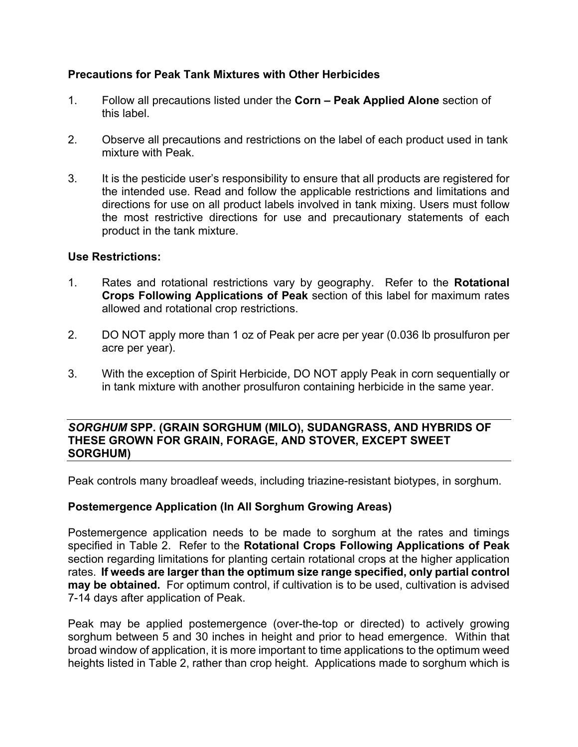### **Precautions for Peak Tank Mixtures with Other Herbicides**

- 1. Follow all precautions listed under the **Corn Peak Applied Alone** section of this label.
- 2. Observe all precautions and restrictions on the label of each product used in tank mixture with Peak.
- 3. It is the pesticide user's responsibility to ensure that all products are registered for the intended use. Read and follow the applicable restrictions and limitations and directions for use on all product labels involved in tank mixing. Users must follow the most restrictive directions for use and precautionary statements of each product in the tank mixture.

### **Use Restrictions:**

- 1. Rates and rotational restrictions vary by geography. Refer to the **Rotational Crops Following Applications of Peak** section of this label for maximum rates allowed and rotational crop restrictions.
- 2. DO NOT apply more than 1 oz of Peak per acre per year (0.036 lb prosulfuron per acre per year).
- 3. With the exception of Spirit Herbicide, DO NOT apply Peak in corn sequentially or in tank mixture with another prosulfuron containing herbicide in the same year.

### *SORGHUM* **SPP. (GRAIN SORGHUM (MILO), SUDANGRASS, AND HYBRIDS OF THESE GROWN FOR GRAIN, FORAGE, AND STOVER, EXCEPT SWEET SORGHUM)**

Peak controls many broadleaf weeds, including triazine-resistant biotypes, in sorghum.

### **Postemergence Application (In All Sorghum Growing Areas)**

Postemergence application needs to be made to sorghum at the rates and timings specified in Table 2. Refer to the **Rotational Crops Following Applications of Peak**  section regarding limitations for planting certain rotational crops at the higher application rates. **If weeds are larger than the optimum size range specified, only partial control may be obtained.** For optimum control, if cultivation is to be used, cultivation is advised 7-14 days after application of Peak.

Peak may be applied postemergence (over-the-top or directed) to actively growing sorghum between 5 and 30 inches in height and prior to head emergence. Within that broad window of application, it is more important to time applications to the optimum weed heights listed in Table 2, rather than crop height. Applications made to sorghum which is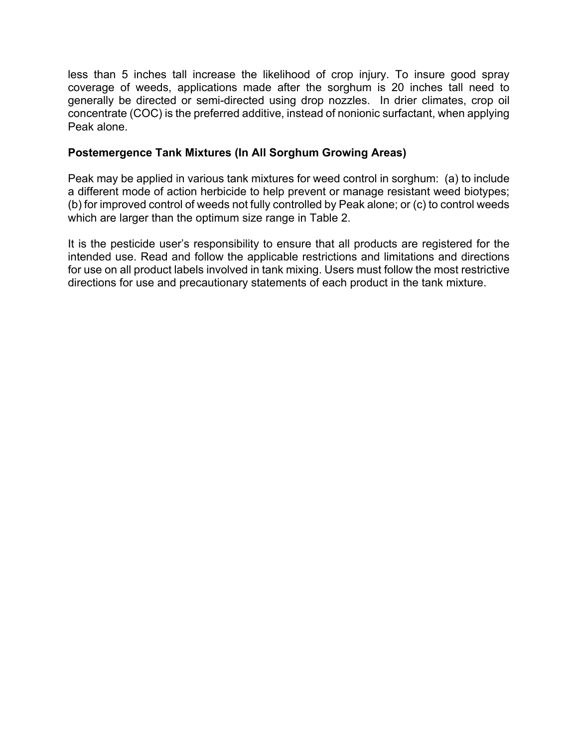less than 5 inches tall increase the likelihood of crop injury. To insure good spray coverage of weeds, applications made after the sorghum is 20 inches tall need to generally be directed or semi-directed using drop nozzles. In drier climates, crop oil concentrate (COC) is the preferred additive, instead of nonionic surfactant, when applying Peak alone.

### **Postemergence Tank Mixtures (In All Sorghum Growing Areas)**

Peak may be applied in various tank mixtures for weed control in sorghum: (a) to include a different mode of action herbicide to help prevent or manage resistant weed biotypes; (b) for improved control of weeds not fully controlled by Peak alone; or (c) to control weeds which are larger than the optimum size range in Table 2.

It is the pesticide user's responsibility to ensure that all products are registered for the intended use. Read and follow the applicable restrictions and limitations and directions for use on all product labels involved in tank mixing. Users must follow the most restrictive directions for use and precautionary statements of each product in the tank mixture.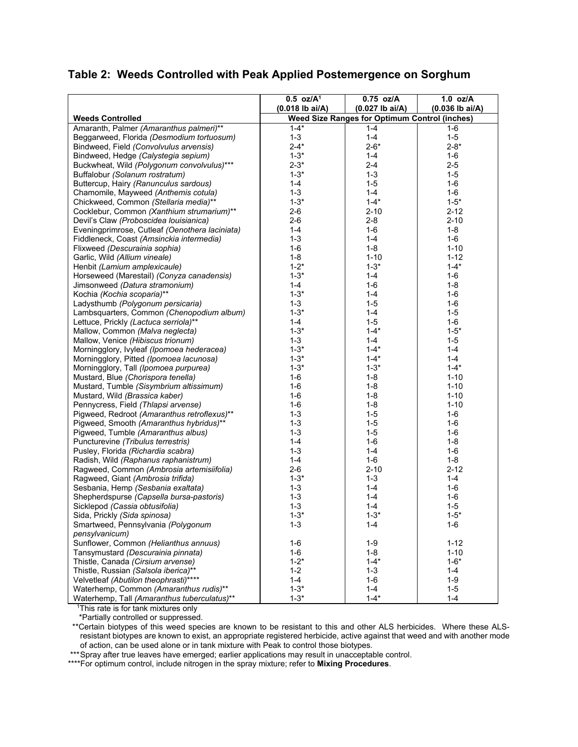# **Table 2: Weeds Controlled with Peak Applied Postemergence on Sorghum**

|                                                | $0.5$ oz/A <sup>1</sup>                              | 0.75 oz/A         | $1.0$ oz/A        |
|------------------------------------------------|------------------------------------------------------|-------------------|-------------------|
|                                                | $(0.018$ lb ai/A)                                    | $(0.027$ lb ai/A) | $(0.036$ lb ai/A) |
| <b>Weeds Controlled</b>                        | <b>Weed Size Ranges for Optimum Control (inches)</b> |                   |                   |
| Amaranth, Palmer (Amaranthus palmeri)**        | $1 - 4*$                                             | $1 - 4$           | 1-6               |
| Beggarweed, Florida (Desmodium tortuosum)      | $1 - 3$                                              | $1 - 4$           | $1 - 5$           |
| Bindweed, Field (Convolvulus arvensis)         | $2 - 4*$                                             | $2 - 6*$          | $2 - 8*$          |
| Bindweed, Hedge (Calystegia sepium)            | $1 - 3*$                                             | 1-4               | $1 - 6$           |
| Buckwheat, Wild (Polygonum convolvulus)***     | $2 - 3*$                                             | 2-4               | $2 - 5$           |
| Buffalobur (Solanum rostratum)                 | $1 - 3*$                                             | $1 - 3$           | $1 - 5$           |
| Buttercup, Hairy (Ranunculus sardous)          | $1 - 4$                                              | $1 - 5$           | $1-6$             |
| Chamomile, Mayweed (Anthemis cotula)           | $1 - 3$                                              | $1 - 4$           | $1 - 6$           |
| Chickweed, Common (Stellaria media)**          | $1 - 3*$                                             | $1 - 4*$          | $1 - 5*$          |
| Cocklebur, Common (Xanthium strumarium)**      | $2 - 6$                                              | $2 - 10$          | $2 - 12$          |
| Devil's Claw (Proboscidea Iouisianica)         | $2 - 6$                                              | $2 - 8$           | $2 - 10$          |
| Eveningprimrose, Cutleaf (Oenothera laciniata) | $1 - 4$                                              | 1-6               | $1 - 8$           |
| Fiddleneck, Coast (Amsinckia intermedia)       | $1 - 3$                                              | $1 - 4$           | $1 - 6$           |
| Flixweed (Descurainia sophia)                  | $1 - 6$                                              | $1 - 8$           | $1 - 10$          |
| Garlic, Wild (Allium vineale)                  | $1 - 8$                                              | $1 - 10$          | $1 - 12$          |
| Henbit (Lamium amplexicaule)                   | $1 - 2^*$                                            | $1 - 3*$          | $1 - 4*$          |
| Horseweed (Marestail) (Conyza canadensis)      | $1 - 3*$                                             | $1 - 4$           | $1-6$             |
| Jimsonweed (Datura stramonium)                 | $1 - 4$                                              | $1 - 6$           | $1 - 8$           |
| Kochia (Kochia scoparia)**                     | $1 - 3*$                                             | $1 - 4$           | $1 - 6$           |
| Ladysthumb (Polygonum persicaria)              | $1 - 3$                                              | $1 - 5$           | $1 - 6$           |
| Lambsquarters, Common (Chenopodium album)      | $1 - 3*$                                             | $1 - 4$           | $1 - 5$           |
| Lettuce, Prickly (Lactuca serriola)**          | $1 - 4$                                              | $1 - 5$           | $1 - 6$           |
| Mallow, Common (Malva neglecta)                | $1 - 3*$                                             | $1 - 4*$          | $1 - 5^*$         |
| Mallow, Venice (Hibiscus trionum)              | $1 - 3$                                              | $1 - 4$           | $1 - 5$           |
| Morningglory, Ivyleaf (Ipomoea hederacea)      | $1 - 3*$                                             | $1 - 4^*$         | $1 - 4$           |
| Morningglory, Pitted (Ipomoea lacunosa)        | $1 - 3*$                                             | $1 - 4*$          | $1 - 4$           |
| Morningglory, Tall (Ipomoea purpurea)          | $1 - 3*$                                             | $1 - 3*$          | $1 - 4*$          |
| Mustard, Blue (Chorispora tenella)             | $1-6$                                                | $1 - 8$           | $1 - 10$          |
| Mustard, Tumble (Sisymbrium altissimum)        | $1-6$                                                | $1 - 8$           | $1 - 10$          |
| Mustard, Wild (Brassica kaber)                 | $1-6$                                                | $1 - 8$           | $1 - 10$          |
| Pennycress, Field (Thlapsi arvense)            | $1 - 6$                                              | $1 - 8$           | $1 - 10$          |
| Pigweed, Redroot (Amaranthus retroflexus)**    | $1 - 3$                                              | $1 - 5$           | $1-6$             |
| Pigweed, Smooth (Amaranthus hybridus)**        | $1 - 3$                                              | $1 - 5$           | $1 - 6$           |
| Pigweed, Tumble (Amaranthus albus)             | $1 - 3$                                              | $1 - 5$           | 1-6               |
| Puncturevine (Tribulus terrestris)             | $1 - 4$                                              | $1 - 6$           | $1 - 8$           |
| Pusley, Florida (Richardia scabra)             | $1 - 3$                                              | $1 - 4$           | $1-6$             |
| Radish, Wild (Raphanus raphanistrum)           | $1 - 4$                                              | $1-6$             | $1 - 8$           |
| Ragweed, Common (Ambrosia artemisiifolia)      | $2 - 6$                                              | $2 - 10$          | $2 - 12$          |
| Ragweed, Giant (Ambrosia trifida)              | $1 - 3*$                                             | $1 - 3$           | $1 - 4$           |
| Sesbania, Hemp (Sesbania exaltata)             | $1 - 3$                                              | $1 - 4$           | $1-6$             |
| Shepherdspurse (Capsella bursa-pastoris)       | $1 - 3$                                              | $1 - 4$           | $1 - 6$           |
| Sicklepod (Cassia obtusifolia)                 | $1 - 3$                                              | $1 - 4$           | $1 - 5$           |
| Sida, Prickly (Sida spinosa)                   | $1 - 3*$                                             | $1 - 3*$          | $1 - 5*$          |
| Smartweed, Pennsylvania (Polygonum             | $1 - 3$                                              | 1-4               | 1-6               |
| pensylvanicum)                                 |                                                      |                   |                   |
| Sunflower, Common (Helianthus annuus)          | $1 - 6$                                              | $1 - 9$           | $1 - 12$          |
| Tansymustard (Descurainia pinnata)             | $1 - 6$                                              | $1 - 8$           | $1 - 10$          |
| Thistle, Canada (Cirsium arvense)              | $1 - 2^*$                                            | $1 - 4^*$         | $1 - 6*$          |
| Thistle, Russian (Salsola iberica)**           | $1 - 2$                                              | $1 - 3$           | $1 - 4$           |
| Velvetleaf (Abutilon theophrasti)****          | $1 - 4$                                              | $1 - 6$           | $1 - 9$           |
| Waterhemp, Common (Amaranthus rudis)**         | $1 - 3*$                                             | $1 - 4$           | $1 - 5$           |
| Waterhemp, Tall (Amaranthus tuberculatus)**    | $1 - 3*$                                             | $1 - 4^*$         | $1 - 4$           |

<sup>1</sup>This rate is for tank mixtures only

\*Partially controlled or suppressed.

 \*\*Certain biotypes of this weed species are known to be resistant to this and other ALS herbicides. Where these ALSresistant biotypes are known to exist, an appropriate registered herbicide, active against that weed and with another mode of action, can be used alone or in tank mixture with Peak to control those biotypes.

\*\*\* Spray after true leaves have emerged; earlier applications may result in unacceptable control.

\*\*\*\*For optimum control, include nitrogen in the spray mixture; refer to **Mixing Procedures**.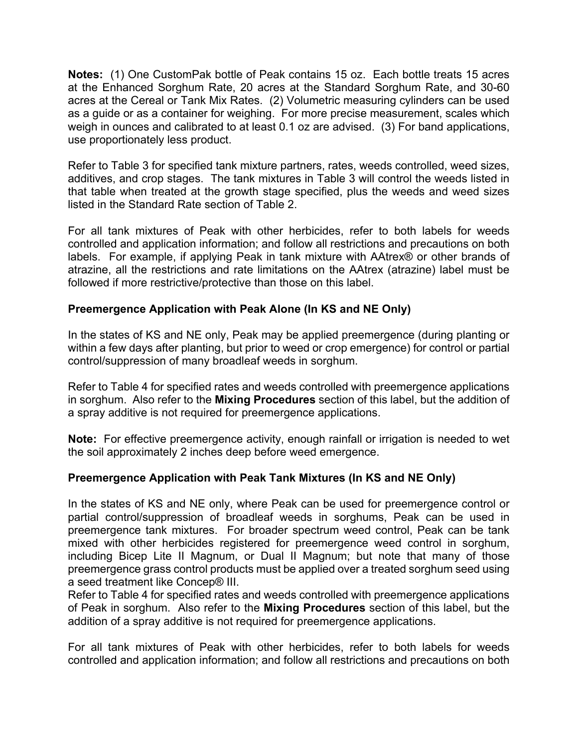**Notes:** (1) One CustomPak bottle of Peak contains 15 oz. Each bottle treats 15 acres at the Enhanced Sorghum Rate, 20 acres at the Standard Sorghum Rate, and 30-60 acres at the Cereal or Tank Mix Rates. (2) Volumetric measuring cylinders can be used as a guide or as a container for weighing. For more precise measurement, scales which weigh in ounces and calibrated to at least 0.1 oz are advised. (3) For band applications, use proportionately less product.

Refer to Table 3 for specified tank mixture partners, rates, weeds controlled, weed sizes, additives, and crop stages. The tank mixtures in Table 3 will control the weeds listed in that table when treated at the growth stage specified, plus the weeds and weed sizes listed in the Standard Rate section of Table 2.

For all tank mixtures of Peak with other herbicides, refer to both labels for weeds controlled and application information; and follow all restrictions and precautions on both labels. For example, if applying Peak in tank mixture with AAtrex® or other brands of atrazine, all the restrictions and rate limitations on the AAtrex (atrazine) label must be followed if more restrictive/protective than those on this label.

# **Preemergence Application with Peak Alone (In KS and NE Only)**

In the states of KS and NE only, Peak may be applied preemergence (during planting or within a few days after planting, but prior to weed or crop emergence) for control or partial control/suppression of many broadleaf weeds in sorghum.

Refer to Table 4 for specified rates and weeds controlled with preemergence applications in sorghum. Also refer to the **Mixing Procedures** section of this label, but the addition of a spray additive is not required for preemergence applications.

**Note:** For effective preemergence activity, enough rainfall or irrigation is needed to wet the soil approximately 2 inches deep before weed emergence.

# **Preemergence Application with Peak Tank Mixtures (In KS and NE Only)**

In the states of KS and NE only, where Peak can be used for preemergence control or partial control/suppression of broadleaf weeds in sorghums, Peak can be used in preemergence tank mixtures. For broader spectrum weed control, Peak can be tank mixed with other herbicides registered for preemergence weed control in sorghum, including Bicep Lite II Magnum, or Dual II Magnum; but note that many of those preemergence grass control products must be applied over a treated sorghum seed using a seed treatment like Concep® III.

Refer to Table 4 for specified rates and weeds controlled with preemergence applications of Peak in sorghum. Also refer to the **Mixing Procedures** section of this label, but the addition of a spray additive is not required for preemergence applications.

For all tank mixtures of Peak with other herbicides, refer to both labels for weeds controlled and application information; and follow all restrictions and precautions on both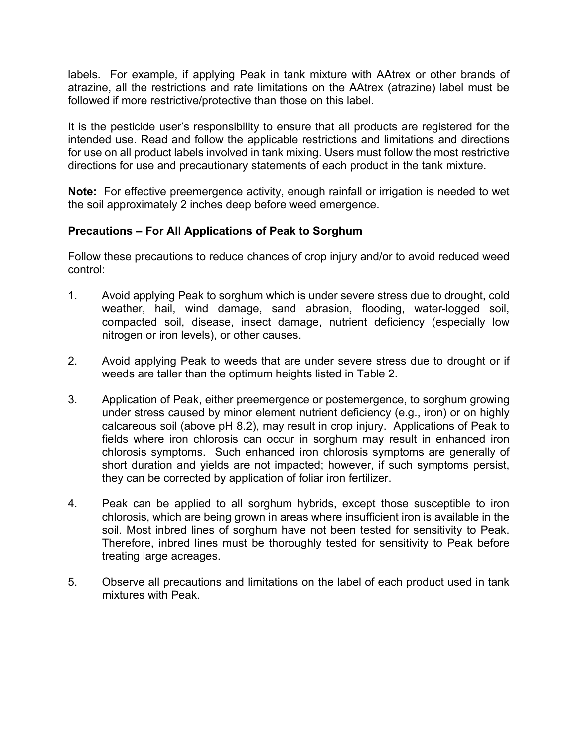labels. For example, if applying Peak in tank mixture with AAtrex or other brands of atrazine, all the restrictions and rate limitations on the AAtrex (atrazine) label must be followed if more restrictive/protective than those on this label.

It is the pesticide user's responsibility to ensure that all products are registered for the intended use. Read and follow the applicable restrictions and limitations and directions for use on all product labels involved in tank mixing. Users must follow the most restrictive directions for use and precautionary statements of each product in the tank mixture.

**Note:** For effective preemergence activity, enough rainfall or irrigation is needed to wet the soil approximately 2 inches deep before weed emergence.

### **Precautions – For All Applications of Peak to Sorghum**

Follow these precautions to reduce chances of crop injury and/or to avoid reduced weed control:

- 1. Avoid applying Peak to sorghum which is under severe stress due to drought, cold weather, hail, wind damage, sand abrasion, flooding, water-logged soil, compacted soil, disease, insect damage, nutrient deficiency (especially low nitrogen or iron levels), or other causes.
- 2. Avoid applying Peak to weeds that are under severe stress due to drought or if weeds are taller than the optimum heights listed in Table 2.
- 3. Application of Peak, either preemergence or postemergence, to sorghum growing under stress caused by minor element nutrient deficiency (e.g., iron) or on highly calcareous soil (above pH 8.2), may result in crop injury. Applications of Peak to fields where iron chlorosis can occur in sorghum may result in enhanced iron chlorosis symptoms. Such enhanced iron chlorosis symptoms are generally of short duration and yields are not impacted; however, if such symptoms persist, they can be corrected by application of foliar iron fertilizer.
- 4. Peak can be applied to all sorghum hybrids, except those susceptible to iron chlorosis, which are being grown in areas where insufficient iron is available in the soil. Most inbred lines of sorghum have not been tested for sensitivity to Peak. Therefore, inbred lines must be thoroughly tested for sensitivity to Peak before treating large acreages.
- 5. Observe all precautions and limitations on the label of each product used in tank mixtures with Peak.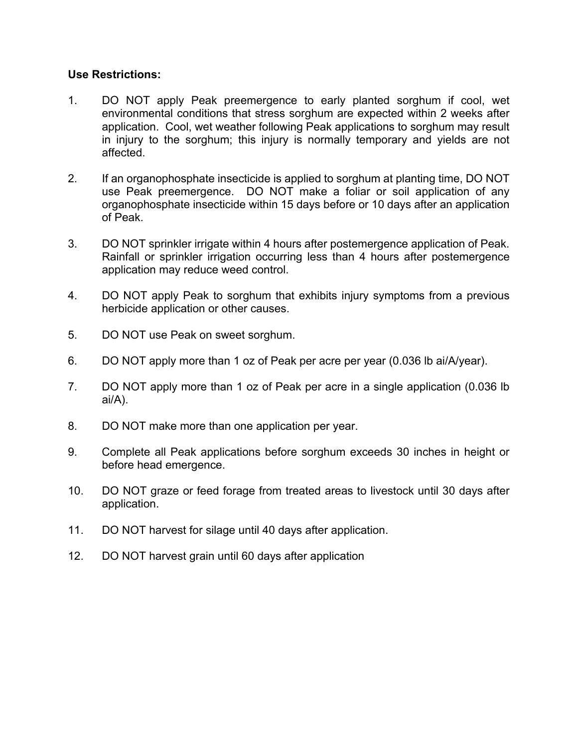### **Use Restrictions:**

- 1. DO NOT apply Peak preemergence to early planted sorghum if cool, wet environmental conditions that stress sorghum are expected within 2 weeks after application. Cool, wet weather following Peak applications to sorghum may result in injury to the sorghum; this injury is normally temporary and yields are not affected.
- 2. If an organophosphate insecticide is applied to sorghum at planting time, DO NOT use Peak preemergence. DO NOT make a foliar or soil application of any organophosphate insecticide within 15 days before or 10 days after an application of Peak.
- 3. DO NOT sprinkler irrigate within 4 hours after postemergence application of Peak. Rainfall or sprinkler irrigation occurring less than 4 hours after postemergence application may reduce weed control.
- 4. DO NOT apply Peak to sorghum that exhibits injury symptoms from a previous herbicide application or other causes.
- 5. DO NOT use Peak on sweet sorghum.
- 6. DO NOT apply more than 1 oz of Peak per acre per year (0.036 lb ai/A/year).
- 7. DO NOT apply more than 1 oz of Peak per acre in a single application (0.036 lb ai/A).
- 8. DO NOT make more than one application per year.
- 9. Complete all Peak applications before sorghum exceeds 30 inches in height or before head emergence.
- 10. DO NOT graze or feed forage from treated areas to livestock until 30 days after application.
- 11. DO NOT harvest for silage until 40 days after application.
- 12. DO NOT harvest grain until 60 days after application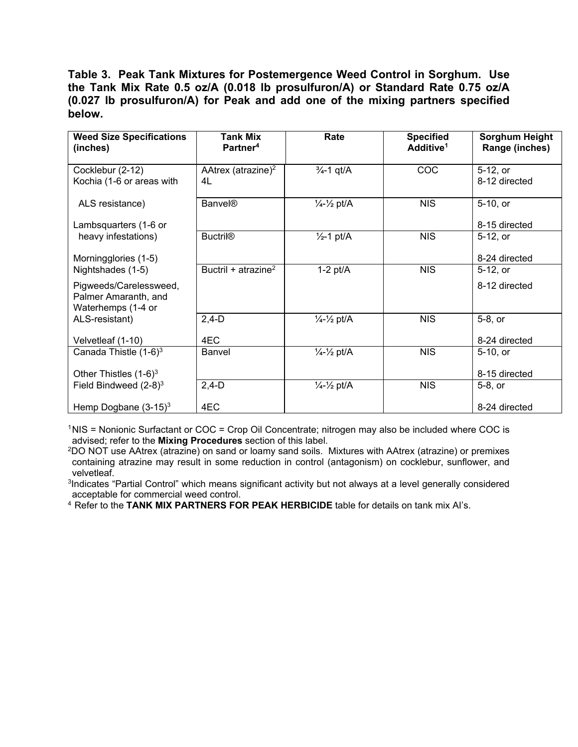**Table 3. Peak Tank Mixtures for Postemergence Weed Control in Sorghum. Use the Tank Mix Rate 0.5 oz/A (0.018 lb prosulfuron/A) or Standard Rate 0.75 oz/A (0.027 lb prosulfuron/A) for Peak and add one of the mixing partners specified below.** 

| <b>Weed Size Specifications</b><br>(inches)                                               | <b>Tank Mix</b><br>Partner <sup>4</sup> | Rate                             | <b>Specified</b><br>Additive <sup>1</sup> | <b>Sorghum Height</b><br>Range (inches) |
|-------------------------------------------------------------------------------------------|-----------------------------------------|----------------------------------|-------------------------------------------|-----------------------------------------|
| Cocklebur (2-12)<br>Kochia (1-6 or areas with                                             | AAtrex (atrazine) $2$<br>4L             | $\frac{3}{4}$ -1 qt/A            | COC                                       | 5-12, or<br>8-12 directed               |
| ALS resistance)<br>Lambsquarters (1-6 or                                                  | <b>Banvel®</b>                          | $\frac{1}{4} - \frac{1}{2}$ pt/A | <b>NIS</b>                                | 5-10, or<br>8-15 directed               |
| heavy infestations)<br>Morningglories (1-5)                                               | <b>Buctril®</b>                         | $\frac{1}{2}$ -1 pt/A            | <b>NIS</b>                                | 5-12, or<br>8-24 directed               |
| Nightshades (1-5)<br>Pigweeds/Carelessweed,<br>Palmer Amaranth, and<br>Waterhemps (1-4 or | Buctril + atrazine <sup>2</sup>         | $1-2$ pt/ $A$                    | <b>NIS</b>                                | 5-12, or<br>8-12 directed               |
| ALS-resistant)<br>Velvetleaf (1-10)                                                       | $2,4-D$<br>4EC                          | $\frac{1}{4} - \frac{1}{2}$ pt/A | <b>NIS</b>                                | 5-8, or<br>8-24 directed                |
| Canada Thistle $(1-6)^3$<br>Other Thistles $(1-6)^3$                                      | Banvel                                  | $\frac{1}{4} - \frac{1}{2}$ pt/A | <b>NIS</b>                                | 5-10, or<br>8-15 directed               |
| Field Bindweed $(2-8)^3$<br>Hemp Dogbane $(3-15)^3$                                       | $2,4-D$<br>4EC                          | $\frac{1}{4} - \frac{1}{2}$ pt/A | <b>NIS</b>                                | 5-8, or<br>8-24 directed                |

<sup>1</sup>NIS = Nonionic Surfactant or COC = Crop Oil Concentrate; nitrogen may also be included where COC is advised; refer to the **Mixing Procedures** section of this label.

2DO NOT use AAtrex (atrazine) on sand or loamy sand soils. Mixtures with AAtrex (atrazine) or premixes containing atrazine may result in some reduction in control (antagonism) on cocklebur, sunflower, and velvetleaf.

<sup>3</sup>Indicates "Partial Control" which means significant activity but not always at a level generally considered acceptable for commercial weed control.

<sup>4</sup> Refer to the **TANK MIX PARTNERS FOR PEAK HERBICIDE** table for details on tank mix AI's.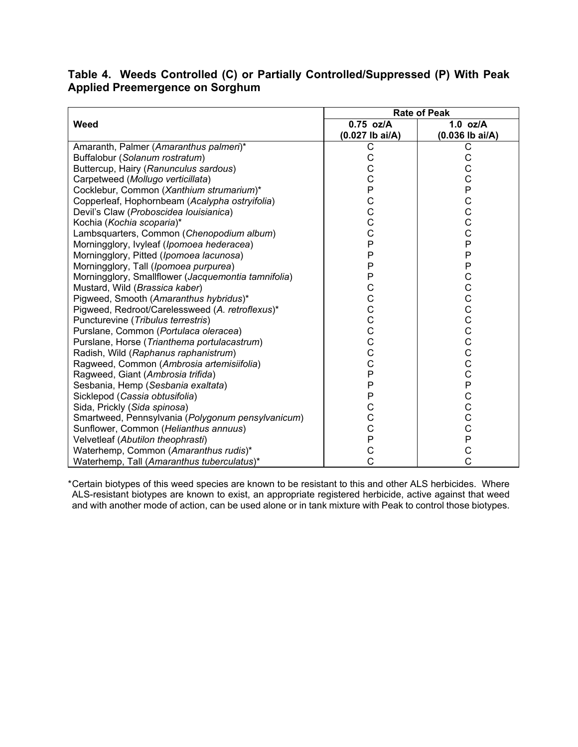# **Table 4. Weeds Controlled (C) or Partially Controlled/Suppressed (P) With Peak Applied Preemergence on Sorghum**

|                                                     | <b>Rate of Peak</b> |                   |  |
|-----------------------------------------------------|---------------------|-------------------|--|
| Weed                                                | 0.75 oz/A           | $1.0$ oz/A        |  |
|                                                     | $(0.027$ lb ai/A)   | $(0.036$ lb ai/A) |  |
| Amaranth, Palmer (Amaranthus palmeri)*              | С                   | С                 |  |
| Buffalobur (Solanum rostratum)                      |                     |                   |  |
| Buttercup, Hairy (Ranunculus sardous)               |                     | C                 |  |
| Carpetweed (Mollugo verticillata)                   |                     | $\rm \bar{c}$     |  |
| Cocklebur, Common (Xanthium strumarium)*            | CCCPCCCP            | PCCCCP            |  |
| Copperleaf, Hophornbeam (Acalypha ostryifolia)      |                     |                   |  |
| Devil's Claw (Proboscidea Iouisianica)              |                     |                   |  |
| Kochia (Kochia scoparia)*                           |                     |                   |  |
| Lambsquarters, Common (Chenopodium album)           |                     |                   |  |
| Morningglory, Ivyleaf (Ipomoea hederacea)           |                     |                   |  |
| Morningglory, Pitted (Ipomoea lacunosa)             | P                   | P                 |  |
| Morningglory, Tall (Ipomoea purpurea)               | P                   | P                 |  |
| Morningglory, Smallflower (Jacquemontia tamnifolia) |                     |                   |  |
| Mustard, Wild (Brassica kaber)                      | PCCCCCCCCC          | CCCCCCCCCPCCCCP   |  |
| Pigweed, Smooth (Amaranthus hybridus)*              |                     |                   |  |
| Pigweed, Redroot/Carelessweed (A. retroflexus)*     |                     |                   |  |
| Puncturevine (Tribulus terrestris)                  |                     |                   |  |
| Purslane, Common (Portulaca oleracea)               |                     |                   |  |
| Purslane, Horse (Trianthema portulacastrum)         |                     |                   |  |
| Radish, Wild (Raphanus raphanistrum)                |                     |                   |  |
| Ragweed, Common (Ambrosia artemisiifolia)           |                     |                   |  |
| Ragweed, Giant (Ambrosia trifida)                   | $\mathsf{P}$        |                   |  |
| Sesbania, Hemp (Sesbania exaltata)                  | P                   |                   |  |
| Sicklepod (Cassia obtusifolia)                      | P                   |                   |  |
| Sida, Prickly (Sida spinosa)                        |                     |                   |  |
| Smartweed, Pennsylvania (Polygonum pensylvanicum)   | C<br>C<br>C<br>P    |                   |  |
| Sunflower, Common (Helianthus annuus)               |                     |                   |  |
| Velvetleaf (Abutilon theophrasti)                   |                     |                   |  |
| Waterhemp, Common (Amaranthus rudis)*               | $\overline{C}$      | $\overline{C}$    |  |
| Waterhemp, Tall (Amaranthus tuberculatus)*          | Ċ                   |                   |  |

\* Certain biotypes of this weed species are known to be resistant to this and other ALS herbicides. Where ALS-resistant biotypes are known to exist, an appropriate registered herbicide, active against that weed and with another mode of action, can be used alone or in tank mixture with Peak to control those biotypes.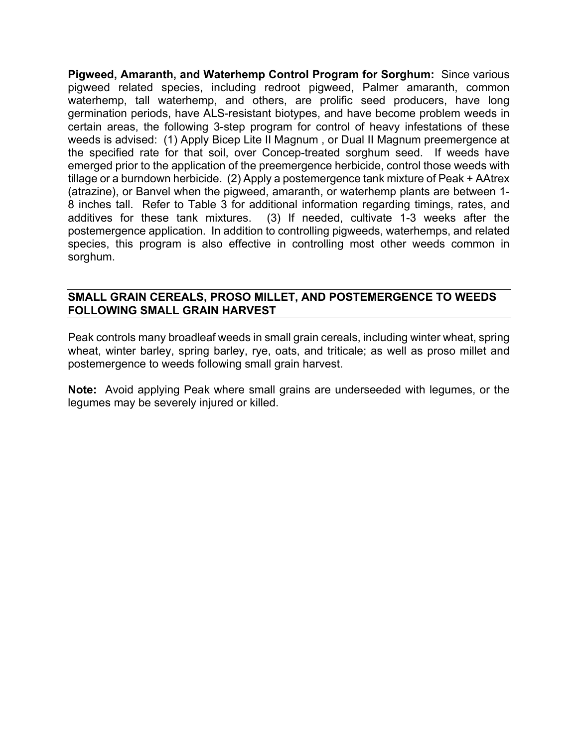**Pigweed, Amaranth, and Waterhemp Control Program for Sorghum:** Since various pigweed related species, including redroot pigweed, Palmer amaranth, common waterhemp, tall waterhemp, and others, are prolific seed producers, have long germination periods, have ALS-resistant biotypes, and have become problem weeds in certain areas, the following 3-step program for control of heavy infestations of these weeds is advised: (1) Apply Bicep Lite II Magnum , or Dual II Magnum preemergence at the specified rate for that soil, over Concep-treated sorghum seed. If weeds have emerged prior to the application of the preemergence herbicide, control those weeds with tillage or a burndown herbicide. (2) Apply a postemergence tank mixture of Peak + AAtrex (atrazine), or Banvel when the pigweed, amaranth, or waterhemp plants are between 1- 8 inches tall. Refer to Table 3 for additional information regarding timings, rates, and additives for these tank mixtures. (3) If needed, cultivate 1-3 weeks after the postemergence application. In addition to controlling pigweeds, waterhemps, and related species, this program is also effective in controlling most other weeds common in sorghum.

### **SMALL GRAIN CEREALS, PROSO MILLET, AND POSTEMERGENCE TO WEEDS FOLLOWING SMALL GRAIN HARVEST**

Peak controls many broadleaf weeds in small grain cereals, including winter wheat, spring wheat, winter barley, spring barley, rye, oats, and triticale; as well as proso millet and postemergence to weeds following small grain harvest.

**Note:** Avoid applying Peak where small grains are underseeded with legumes, or the legumes may be severely injured or killed.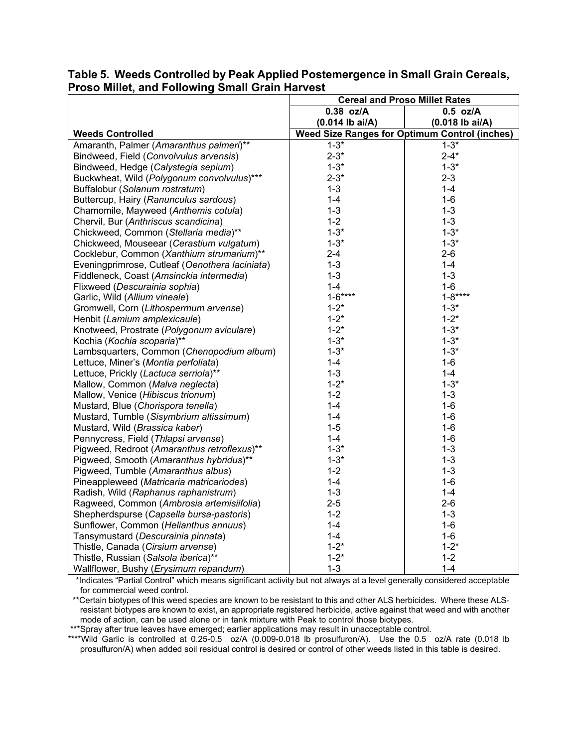|                                                | <b>Cereal and Proso Millet Rates</b>                 |                   |  |
|------------------------------------------------|------------------------------------------------------|-------------------|--|
|                                                | $0.38$ oz/A                                          | $0.5$ oz/A        |  |
|                                                | $(0.014$ lb ai/A)                                    | $(0.018$ lb ai/A) |  |
| <b>Weeds Controlled</b>                        | <b>Weed Size Ranges for Optimum Control (inches)</b> |                   |  |
| Amaranth, Palmer (Amaranthus palmeri)**        | $1 - 3*$                                             | $1 - 3*$          |  |
| Bindweed, Field (Convolvulus arvensis)         | $2 - 3*$                                             | $2 - 4*$          |  |
| Bindweed, Hedge (Calystegia sepium)            | $1 - 3*$                                             | $1 - 3*$          |  |
| Buckwheat, Wild (Polygonum convolvulus)***     | $2 - 3*$                                             | $2 - 3$           |  |
| Buffalobur (Solanum rostratum)                 | $1 - 3$                                              | $1 - 4$           |  |
| Buttercup, Hairy (Ranunculus sardous)          | $1 - 4$                                              | $1-6$             |  |
| Chamomile, Mayweed (Anthemis cotula)           | $1 - 3$                                              | $1 - 3$           |  |
| Chervil, Bur (Anthriscus scandicina)           | $1 - 2$                                              | $1 - 3$           |  |
| Chickweed, Common (Stellaria media)**          | $1 - 3*$                                             | $1 - 3*$          |  |
| Chickweed, Mouseear (Cerastium vulgatum)       | $1 - 3*$                                             | $1 - 3*$          |  |
| Cocklebur, Common (Xanthium strumarium)**      | $2 - 4$                                              | $2 - 6$           |  |
| Eveningprimrose, Cutleaf (Oenothera laciniata) | $1 - 3$                                              | $1 - 4$           |  |
| Fiddleneck, Coast (Amsinckia intermedia)       | $1 - 3$                                              | $1 - 3$           |  |
| Flixweed (Descurainia sophia)                  | $1 - 4$                                              | $1-6$             |  |
| Garlic, Wild (Allium vineale)                  | $1 - 6***$                                           | $1 - 8***$        |  |
| Gromwell, Corn (Lithospermum arvense)          | $1 - 2^*$                                            | $1 - 3*$          |  |
| Henbit (Lamium amplexicaule)                   | $1 - 2^*$                                            | $1 - 2^*$         |  |
| Knotweed, Prostrate (Polygonum aviculare)      | $1 - 2^*$                                            | $1 - 3*$          |  |
| Kochia (Kochia scoparia)**                     | $1 - 3*$                                             | $1 - 3*$          |  |
| Lambsquarters, Common (Chenopodium album)      | $1 - 3*$                                             | $1 - 3*$          |  |
| Lettuce, Miner's (Montia perfoliata)           | $1 - 4$                                              | $1-6$             |  |
| Lettuce, Prickly (Lactuca serriola)**          | $1 - 3$                                              | $1 - 4$           |  |
| Mallow, Common (Malva neglecta)                | $1 - 2^*$                                            | $1 - 3*$          |  |
| Mallow, Venice (Hibiscus trionum)              | $1 - 2$                                              | $1 - 3$           |  |
| Mustard, Blue (Chorispora tenella)             | $1 - 4$                                              | $1-6$             |  |
| Mustard, Tumble (Sisymbrium altissimum)        | $1 - 4$                                              | $1 - 6$           |  |
| Mustard, Wild (Brassica kaber)                 | $1 - 5$                                              | $1 - 6$           |  |
| Pennycress, Field (Thlapsi arvense)            | $1 - 4$                                              | $1 - 6$           |  |
| Pigweed, Redroot (Amaranthus retroflexus)**    | $1 - 3*$                                             | $1 - 3$           |  |
| Pigweed, Smooth (Amaranthus hybridus)**        | $1 - 3*$                                             | $1 - 3$           |  |
| Pigweed, Tumble (Amaranthus albus)             | $1 - 2$                                              | $1 - 3$           |  |
| Pineappleweed (Matricaria matricariodes)       | $1 - 4$                                              | $1-6$             |  |
| Radish, Wild (Raphanus raphanistrum)           | $1 - 3$                                              | $1 - 4$           |  |
| Ragweed, Common (Ambrosia artemisiifolia)      | $2 - 5$                                              | $2 - 6$           |  |
| Shepherdspurse (Capsella bursa-pastoris)       | $1 - 2$                                              | $1 - 3$           |  |
| Sunflower, Common (Helianthus annuus)          | $1 - 4$                                              | $1 - 6$           |  |
| Tansymustard (Descurainia pinnata)             | $1 - 4$                                              | $1 - 6$           |  |
| Thistle, Canada (Cirsium arvense)              | $1 - 2^*$                                            | $1 - 2^*$         |  |
| Thistle, Russian (Salsola iberica)**           | $1 - 2^*$                                            | $1 - 2$           |  |
| Wallflower, Bushy (Erysimum repandum)          | $1 - 3$                                              | $1 - 4$           |  |

### **Table 5. Weeds Controlled by Peak Applied Postemergence in Small Grain Cereals, Proso Millet, and Following Small Grain Harvest**

 \*Indicates "Partial Control" which means significant activity but not always at a level generally considered acceptable for commercial weed control.

 \*\*Certain biotypes of this weed species are known to be resistant to this and other ALS herbicides. Where these ALSresistant biotypes are known to exist, an appropriate registered herbicide, active against that weed and with another mode of action, can be used alone or in tank mixture with Peak to control those biotypes.

\*\*\*Spray after true leaves have emerged; earlier applications may result in unacceptable control.

\*\*\*\*Wild Garlic is controlled at 0.25-0.5 oz/A (0.009-0.018 lb prosulfuron/A). Use the 0.5 oz/A rate (0.018 lb prosulfuron/A) when added soil residual control is desired or control of other weeds listed in this table is desired.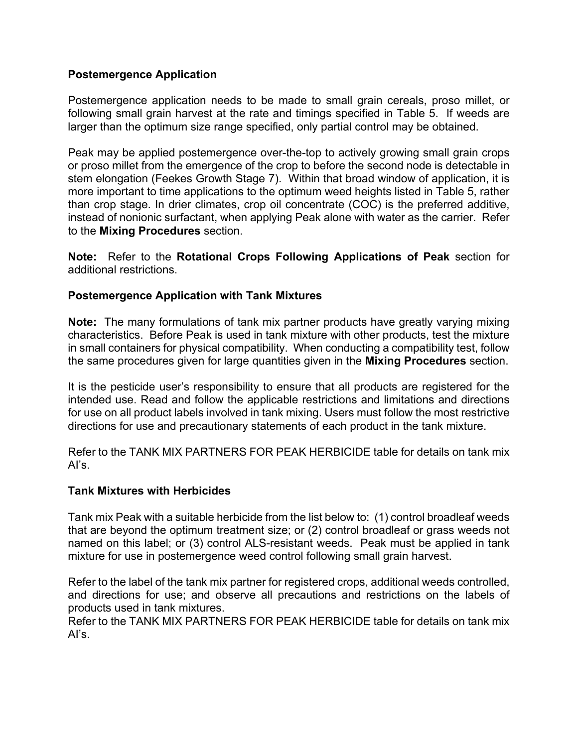### **Postemergence Application**

Postemergence application needs to be made to small grain cereals, proso millet, or following small grain harvest at the rate and timings specified in Table 5. If weeds are larger than the optimum size range specified, only partial control may be obtained.

Peak may be applied postemergence over-the-top to actively growing small grain crops or proso millet from the emergence of the crop to before the second node is detectable in stem elongation (Feekes Growth Stage 7). Within that broad window of application, it is more important to time applications to the optimum weed heights listed in Table 5, rather than crop stage. In drier climates, crop oil concentrate (COC) is the preferred additive, instead of nonionic surfactant, when applying Peak alone with water as the carrier. Refer to the **Mixing Procedures** section.

**Note:** Refer to the **Rotational Crops Following Applications of Peak** section for additional restrictions.

### **Postemergence Application with Tank Mixtures**

**Note:** The many formulations of tank mix partner products have greatly varying mixing characteristics. Before Peak is used in tank mixture with other products, test the mixture in small containers for physical compatibility. When conducting a compatibility test, follow the same procedures given for large quantities given in the **Mixing Procedures** section.

It is the pesticide user's responsibility to ensure that all products are registered for the intended use. Read and follow the applicable restrictions and limitations and directions for use on all product labels involved in tank mixing. Users must follow the most restrictive directions for use and precautionary statements of each product in the tank mixture.

Refer to the TANK MIX PARTNERS FOR PEAK HERBICIDE table for details on tank mix AI's.

### **Tank Mixtures with Herbicides**

Tank mix Peak with a suitable herbicide from the list below to: (1) control broadleaf weeds that are beyond the optimum treatment size; or (2) control broadleaf or grass weeds not named on this label; or (3) control ALS-resistant weeds. Peak must be applied in tank mixture for use in postemergence weed control following small grain harvest.

Refer to the label of the tank mix partner for registered crops, additional weeds controlled, and directions for use; and observe all precautions and restrictions on the labels of products used in tank mixtures.

Refer to the TANK MIX PARTNERS FOR PEAK HERBICIDE table for details on tank mix AI's.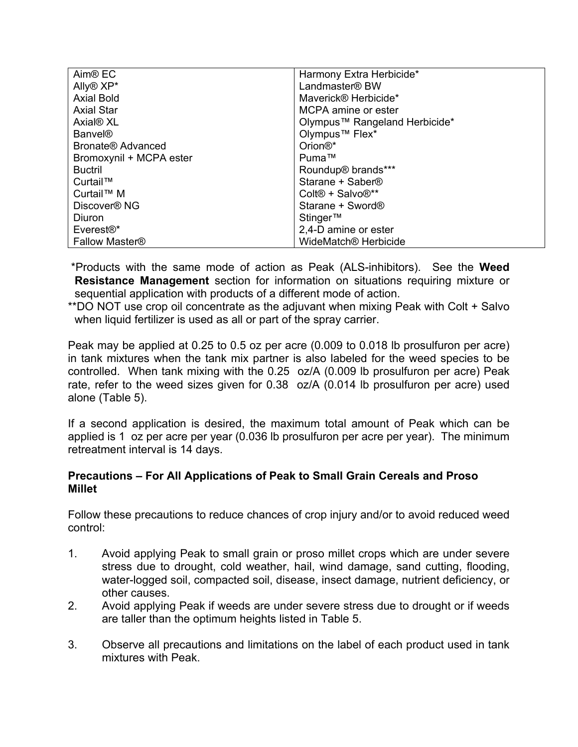| Aim <sup>®</sup> EC       | Harmony Extra Herbicide*                 |
|---------------------------|------------------------------------------|
| Ally <sup>®</sup> XP*     | Landmaster® BW                           |
| <b>Axial Bold</b>         | Maverick® Herbicide*                     |
| <b>Axial Star</b>         | MCPA amine or ester                      |
| Axial <sup>®</sup> XL     | Olympus™ Rangeland Herbicide*            |
| <b>Banvel®</b>            | Olympus <sup>™</sup> Flex*               |
| Bronate® Advanced         | Orion <sup>®*</sup>                      |
| Bromoxynil + MCPA ester   | Puma™                                    |
| <b>Buctril</b>            | Roundup <sup>®</sup> brands***           |
| Curtail™                  | Starane + Saber <sup>®</sup>             |
| Curtail <sup>™</sup> M    | Colt <sup>®</sup> + Salvo <sup>®**</sup> |
| Discover <sup>®</sup> NG  | Starane + Sword®                         |
| Diuron                    | Stinger™                                 |
| $E$ verest $\mathbb{R}^*$ | 2,4-D amine or ester                     |
| <b>Fallow Master®</b>     | WideMatch <sup>®</sup> Herbicide         |

 \*Products with the same mode of action as Peak (ALS-inhibitors). See the **Weed Resistance Management** section for information on situations requiring mixture or sequential application with products of a different mode of action.

\*\*DO NOT use crop oil concentrate as the adjuvant when mixing Peak with Colt + Salvo when liquid fertilizer is used as all or part of the spray carrier.

Peak may be applied at 0.25 to 0.5 oz per acre (0.009 to 0.018 lb prosulfuron per acre) in tank mixtures when the tank mix partner is also labeled for the weed species to be controlled. When tank mixing with the 0.25 oz/A (0.009 lb prosulfuron per acre) Peak rate, refer to the weed sizes given for 0.38 oz/A (0.014 lb prosulfuron per acre) used alone (Table 5).

If a second application is desired, the maximum total amount of Peak which can be applied is 1 oz per acre per year (0.036 lb prosulfuron per acre per year). The minimum retreatment interval is 14 days.

### **Precautions – For All Applications of Peak to Small Grain Cereals and Proso Millet**

Follow these precautions to reduce chances of crop injury and/or to avoid reduced weed control:

- 1. Avoid applying Peak to small grain or proso millet crops which are under severe stress due to drought, cold weather, hail, wind damage, sand cutting, flooding, water-logged soil, compacted soil, disease, insect damage, nutrient deficiency, or other causes.
- 2. Avoid applying Peak if weeds are under severe stress due to drought or if weeds are taller than the optimum heights listed in Table 5.
- 3. Observe all precautions and limitations on the label of each product used in tank mixtures with Peak.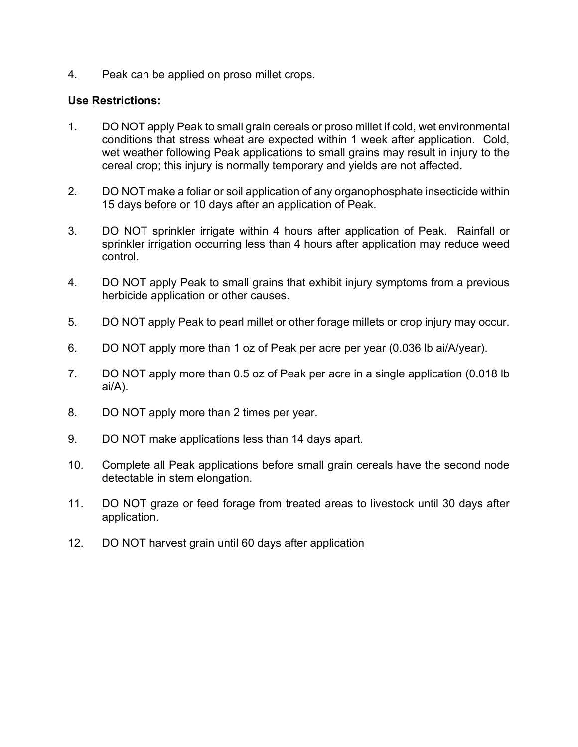4. Peak can be applied on proso millet crops.

### **Use Restrictions:**

- 1. DO NOT apply Peak to small grain cereals or proso millet if cold, wet environmental conditions that stress wheat are expected within 1 week after application. Cold, wet weather following Peak applications to small grains may result in injury to the cereal crop; this injury is normally temporary and yields are not affected.
- 2. DO NOT make a foliar or soil application of any organophosphate insecticide within 15 days before or 10 days after an application of Peak.
- 3. DO NOT sprinkler irrigate within 4 hours after application of Peak. Rainfall or sprinkler irrigation occurring less than 4 hours after application may reduce weed control.
- 4. DO NOT apply Peak to small grains that exhibit injury symptoms from a previous herbicide application or other causes.
- 5. DO NOT apply Peak to pearl millet or other forage millets or crop injury may occur.
- 6. DO NOT apply more than 1 oz of Peak per acre per year (0.036 lb ai/A/year).
- 7. DO NOT apply more than 0.5 oz of Peak per acre in a single application (0.018 lb ai/A).
- 8. DO NOT apply more than 2 times per year.
- 9. DO NOT make applications less than 14 days apart.
- 10. Complete all Peak applications before small grain cereals have the second node detectable in stem elongation.
- 11. DO NOT graze or feed forage from treated areas to livestock until 30 days after application.
- 12. DO NOT harvest grain until 60 days after application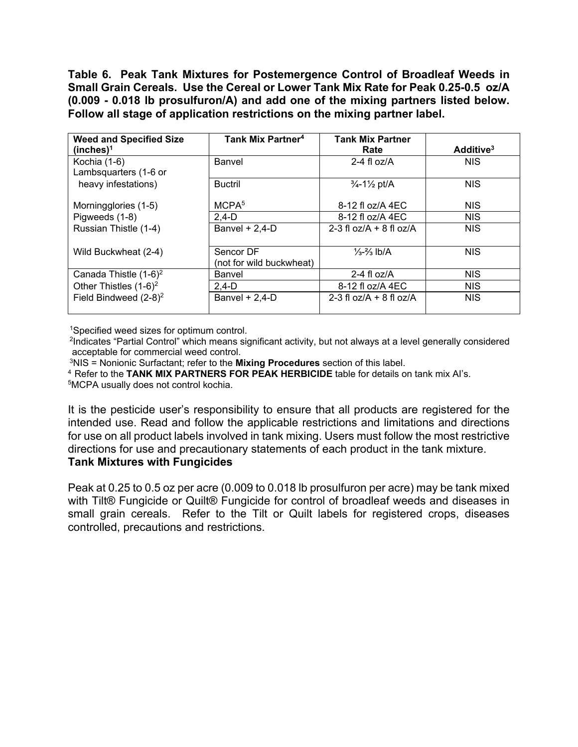**Table 6. Peak Tank Mixtures for Postemergence Control of Broadleaf Weeds in Small Grain Cereals. Use the Cereal or Lower Tank Mix Rate for Peak 0.25-0.5 oz/A (0.009 - 0.018 lb prosulfuron/A) and add one of the mixing partners listed below. Follow all stage of application restrictions on the mixing partner label.** 

| <b>Weed and Specified Size</b> | Tank Mix Partner <sup>4</sup> | <b>Tank Mix Partner</b>                     |                       |
|--------------------------------|-------------------------------|---------------------------------------------|-----------------------|
| (inches) <sup>1</sup>          |                               | Rate                                        | Additive <sup>3</sup> |
| Kochia (1-6)                   | Banvel                        | 2-4 fl $oz/A$                               | <b>NIS</b>            |
| Lambsquarters (1-6 or          |                               |                                             |                       |
| heavy infestations)            | <b>Buctril</b>                | $\frac{3}{4}$ -1 $\frac{1}{2}$ pt/A         | <b>NIS</b>            |
|                                |                               |                                             |                       |
| Morningglories (1-5)           | MCPA <sup>5</sup>             | 8-12 fl oz/A 4EC                            | <b>NIS</b>            |
| Pigweeds (1-8)                 | $2,4-D$                       | 8-12 fl oz/A 4EC                            | <b>NIS</b>            |
| Russian Thistle (1-4)          | Banvel $+ 2,4$ -D             | 2-3 fl $\frac{67}{A}$ + 8 fl $\frac{67}{A}$ | <b>NIS</b>            |
|                                |                               |                                             |                       |
| Wild Buckwheat (2-4)           | Sencor DF                     | $\frac{1}{3} - \frac{2}{3}$ lb/A            | <b>NIS</b>            |
|                                | (not for wild buckwheat)      |                                             |                       |
| Canada Thistle $(1-6)^2$       | Banvel                        | 2-4 fl $oz/A$                               | <b>NIS</b>            |
| Other Thistles $(1-6)^2$       | $2,4-D$                       | 8-12 fl oz/A 4EC                            | <b>NIS</b>            |
| Field Bindweed $(2-8)^2$       | Banvel $+ 2,4$ -D             | 2-3 fl $oz/A + 8$ fl $oz/A$                 | <b>NIS</b>            |
|                                |                               |                                             |                       |

1Specified weed sizes for optimum control.

<sup>2</sup>Indicates "Partial Control" which means significant activity, but not always at a level generally considered acceptable for commercial weed control.

3NIS = Nonionic Surfactant; refer to the **Mixing Procedures** section of this label.

<sup>4</sup> Refer to the **TANK MIX PARTNERS FOR PEAK HERBICIDE** table for details on tank mix AI's.

5MCPA usually does not control kochia.

It is the pesticide user's responsibility to ensure that all products are registered for the intended use. Read and follow the applicable restrictions and limitations and directions for use on all product labels involved in tank mixing. Users must follow the most restrictive directions for use and precautionary statements of each product in the tank mixture.

# **Tank Mixtures with Fungicides**

Peak at 0.25 to 0.5 oz per acre (0.009 to 0.018 lb prosulfuron per acre) may be tank mixed with Tilt® Fungicide or Quilt® Fungicide for control of broadleaf weeds and diseases in small grain cereals. Refer to the Tilt or Quilt labels for registered crops, diseases controlled, precautions and restrictions.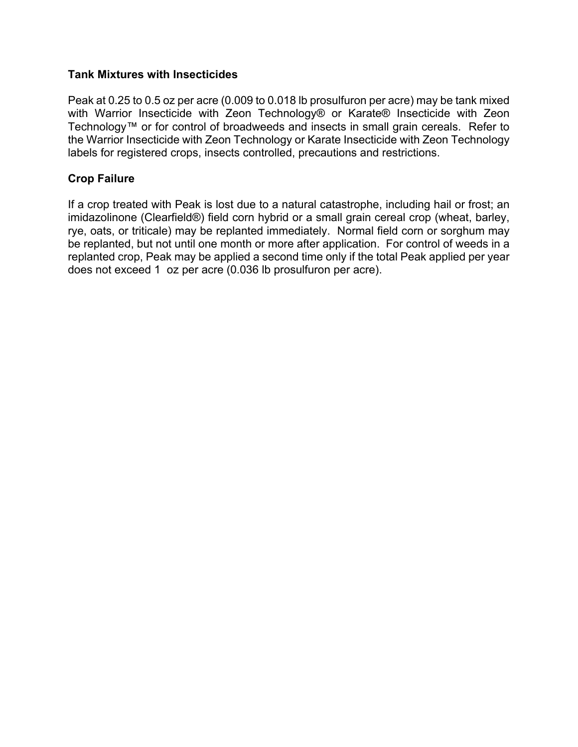### **Tank Mixtures with Insecticides**

Peak at 0.25 to 0.5 oz per acre (0.009 to 0.018 lb prosulfuron per acre) may be tank mixed with Warrior Insecticide with Zeon Technology® or Karate® Insecticide with Zeon Technology™ or for control of broadweeds and insects in small grain cereals. Refer to the Warrior Insecticide with Zeon Technology or Karate Insecticide with Zeon Technology labels for registered crops, insects controlled, precautions and restrictions.

# **Crop Failure**

If a crop treated with Peak is lost due to a natural catastrophe, including hail or frost; an imidazolinone (Clearfield®) field corn hybrid or a small grain cereal crop (wheat, barley, rye, oats, or triticale) may be replanted immediately. Normal field corn or sorghum may be replanted, but not until one month or more after application. For control of weeds in a replanted crop, Peak may be applied a second time only if the total Peak applied per year does not exceed 1 oz per acre (0.036 lb prosulfuron per acre).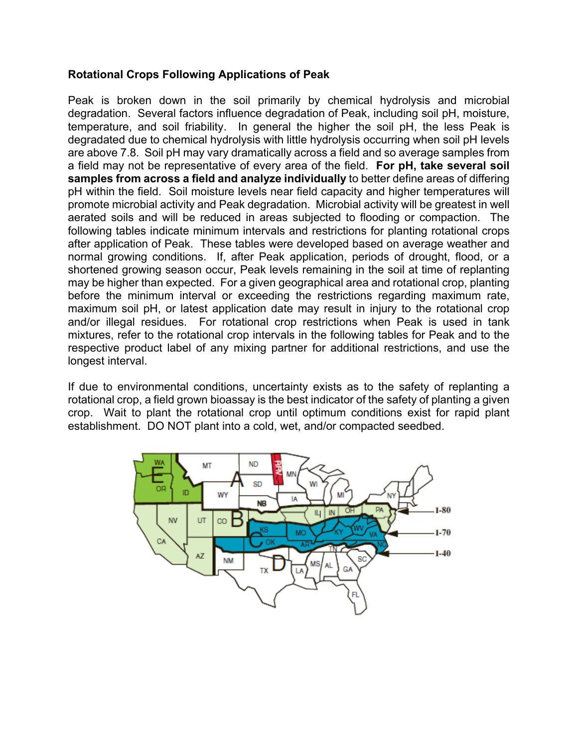### **Rotational Crops Following Applications of Peak**

Peak is broken down in the soil primarily by chemical hydrolysis and microbial degradation. Several factors influence degradation of Peak, including soil pH, moisture, temperature, and soil friability. In general the higher the soil pH, the less Peak is degradated due to chemical hydrolysis with little hydrolysis occurring when soil pH levels are above 7.8. Soil pH may vary dramatically across a field and so average samples from a field may not be representative of every area of the field. **For pH, take several soil samples from across a field and analyze individually** to better define areas of differing pH within the field. Soil moisture levels near field capacity and higher temperatures will promote microbial activity and Peak degradation. Microbial activity will be greatest in well aerated soils and will be reduced in areas subjected to flooding or compaction. The following tables indicate minimum intervals and restrictions for planting rotational crops after application of Peak. These tables were developed based on average weather and normal growing conditions. If, after Peak application, periods of drought, flood, or a shortened growing season occur, Peak levels remaining in the soil at time of replanting may be higher than expected. For a given geographical area and rotational crop, planting before the minimum interval or exceeding the restrictions regarding maximum rate, maximum soil pH, or latest application date may result in injury to the rotational crop and/or illegal residues. For rotational crop restrictions when Peak is used in tank mixtures, refer to the rotational crop intervals in the following tables for Peak and to the respective product label of any mixing partner for additional restrictions, and use the longest interval.

If due to environmental conditions, uncertainty exists as to the safety of replanting a rotational crop, a field grown bioassay is the best indicator of the safety of planting a given crop. Wait to plant the rotational crop until optimum conditions exist for rapid plant establishment. DO NOT plant into a cold, wet, and/or compacted seedbed.

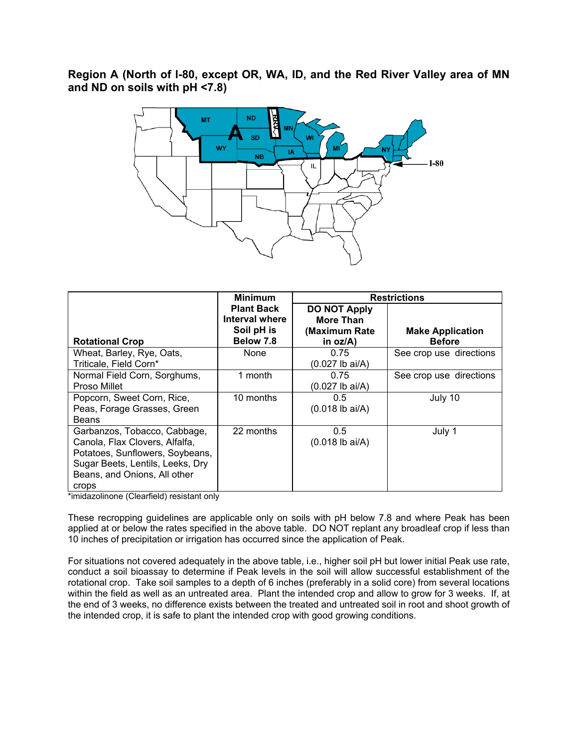**Region A (North of I-80, except OR, WA, ID, and the Red River Valley area of MN and ND on soils with pH <7.8)** 



|                                                                                                                                                                                | <b>Minimum</b>                                                 | <b>Restrictions</b>                                                     |                                          |
|--------------------------------------------------------------------------------------------------------------------------------------------------------------------------------|----------------------------------------------------------------|-------------------------------------------------------------------------|------------------------------------------|
| <b>Rotational Crop</b>                                                                                                                                                         | <b>Plant Back</b><br>Interval where<br>Soil pH is<br>Below 7.8 | <b>DO NOT Apply</b><br><b>More Than</b><br>(Maximum Rate<br>in $oz/A$ ) | <b>Make Application</b><br><b>Before</b> |
| Wheat, Barley, Rye, Oats,<br>Triticale, Field Corn*                                                                                                                            | None                                                           | 0.75<br>$(0.027$ lb ai/A)                                               | See crop use directions                  |
| Normal Field Corn, Sorghums,<br>Proso Millet                                                                                                                                   | 1 month                                                        | 0.75<br>(0.027 lb ai/A)                                                 | See crop use directions                  |
| Popcorn, Sweet Corn, Rice,<br>Peas, Forage Grasses, Green<br><b>Beans</b>                                                                                                      | 10 months                                                      | 0.5<br>$(0.018$ lb ai/A)                                                | July 10                                  |
| Garbanzos, Tobacco, Cabbage,<br>Canola, Flax Clovers, Alfalfa,<br>Potatoes, Sunflowers, Soybeans,<br>Sugar Beets, Lentils, Leeks, Dry<br>Beans, and Onions, All other<br>crops | 22 months                                                      | 0.5<br>$(0.018$ lb ai/A)                                                | July 1                                   |

\*imidazolinone (Clearfield) resistant only

These recropping guidelines are applicable only on soils with pH below 7.8 and where Peak has been applied at or below the rates specified in the above table. DO NOT replant any broadleaf crop if less than 10 inches of precipitation or irrigation has occurred since the application of Peak.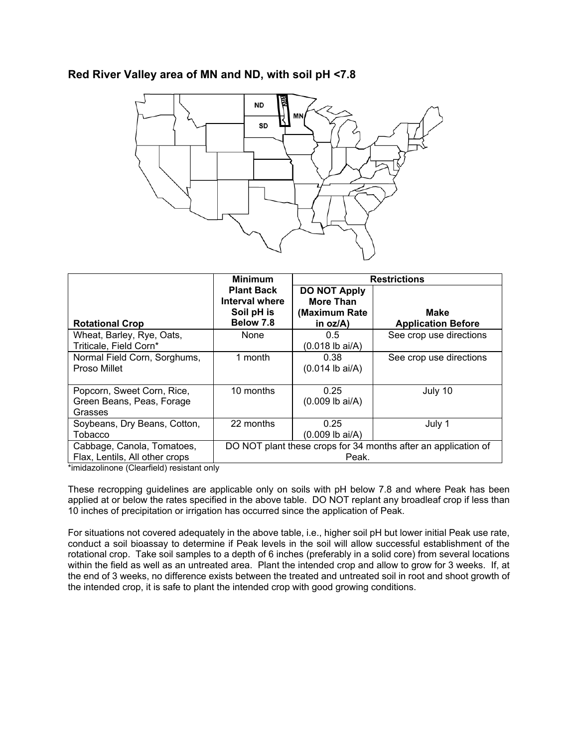### **Red River Valley area of MN and ND, with soil pH <7.8**



|                                                                    | <b>Minimum</b>                                                 | <b>Restrictions</b>                                                     |                                                                |
|--------------------------------------------------------------------|----------------------------------------------------------------|-------------------------------------------------------------------------|----------------------------------------------------------------|
| <b>Rotational Crop</b>                                             | <b>Plant Back</b><br>Interval where<br>Soil pH is<br>Below 7.8 | <b>DO NOT Apply</b><br><b>More Than</b><br>(Maximum Rate<br>in $oz/A$ ) | Make<br><b>Application Before</b>                              |
| Wheat, Barley, Rye, Oats,<br>Triticale, Field Corn*                | None                                                           | 0.5<br>$(0.018$ lb ai/A)                                                | See crop use directions                                        |
| Normal Field Corn, Sorghums,<br>Proso Millet                       | 1 month                                                        | 0.38<br>$(0.014$ lb ai/A)                                               | See crop use directions                                        |
| Popcorn, Sweet Corn, Rice,<br>Green Beans, Peas, Forage<br>Grasses | 10 months                                                      | 0.25<br>$(0.009$ lb ai/A)                                               | July 10                                                        |
| Soybeans, Dry Beans, Cotton,<br>Tobacco                            | 22 months                                                      | 0.25<br>$(0.009$ lb ai/A)                                               | July 1                                                         |
| Cabbage, Canola, Tomatoes,<br>Flax, Lentils, All other crops       |                                                                | Peak.                                                                   | DO NOT plant these crops for 34 months after an application of |

\*imidazolinone (Clearfield) resistant only

These recropping guidelines are applicable only on soils with pH below 7.8 and where Peak has been applied at or below the rates specified in the above table. DO NOT replant any broadleaf crop if less than 10 inches of precipitation or irrigation has occurred since the application of Peak.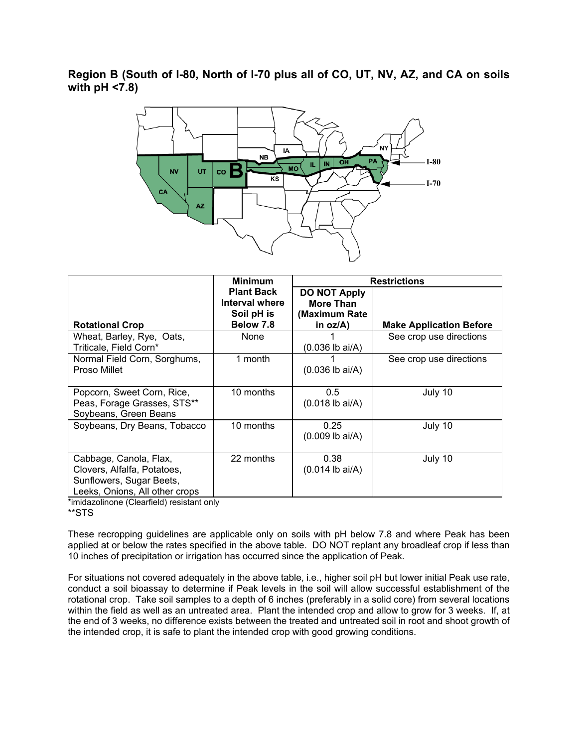**Region B (South of I-80, North of I-70 plus all of CO, UT, NV, AZ, and CA on soils with pH <7.8)** 



|                                                                                                                     | <b>Minimum</b>                                                 | <b>Restrictions</b>                                                  |                                |
|---------------------------------------------------------------------------------------------------------------------|----------------------------------------------------------------|----------------------------------------------------------------------|--------------------------------|
| <b>Rotational Crop</b>                                                                                              | <b>Plant Back</b><br>Interval where<br>Soil pH is<br>Below 7.8 | <b>DO NOT Apply</b><br><b>More Than</b><br>(Maximum Rate<br>in oz/A) | <b>Make Application Before</b> |
| Wheat, Barley, Rye, Oats,<br>Triticale, Field Corn*                                                                 | None                                                           | $(0.036$ lb ai/A)                                                    | See crop use directions        |
| Normal Field Corn, Sorghums,<br>Proso Millet                                                                        | 1 month                                                        | $(0.036$ lb ai/A)                                                    | See crop use directions        |
| Popcorn, Sweet Corn, Rice,<br>Peas, Forage Grasses, STS**<br>Soybeans, Green Beans                                  | 10 months                                                      | 0.5<br>$(0.018$ lb ai/A)                                             | July 10                        |
| Soybeans, Dry Beans, Tobacco                                                                                        | 10 months                                                      | 0.25<br>$(0.009$ lb ai/A)                                            | July 10                        |
| Cabbage, Canola, Flax,<br>Clovers, Alfalfa, Potatoes,<br>Sunflowers, Sugar Beets,<br>Leeks, Onions, All other crops | 22 months                                                      | 0.38<br>$(0.014$ lb ai/A)                                            | July 10                        |

\*imidazolinone (Clearfield) resistant only

\*\*STS

These recropping guidelines are applicable only on soils with pH below 7.8 and where Peak has been applied at or below the rates specified in the above table. DO NOT replant any broadleaf crop if less than 10 inches of precipitation or irrigation has occurred since the application of Peak.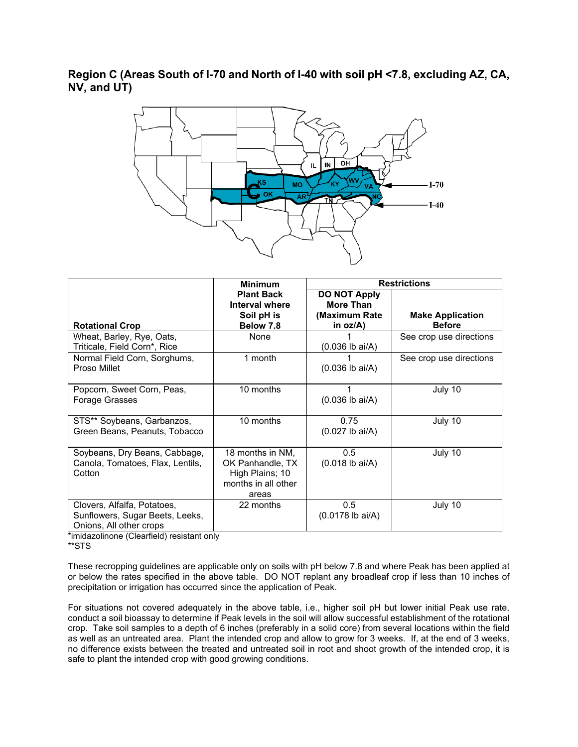**Region C (Areas South of I-70 and North of I-40 with soil pH <7.8, excluding AZ, CA, NV, and UT)** 



|                                                                                           | <b>Minimum</b>                                                                          |                                                                         | <b>Restrictions</b>                      |  |
|-------------------------------------------------------------------------------------------|-----------------------------------------------------------------------------------------|-------------------------------------------------------------------------|------------------------------------------|--|
| <b>Rotational Crop</b>                                                                    | <b>Plant Back</b><br>Interval where<br>Soil pH is<br>Below 7.8                          | <b>DO NOT Apply</b><br><b>More Than</b><br>(Maximum Rate<br>in $oz/A$ ) | <b>Make Application</b><br><b>Before</b> |  |
| Wheat, Barley, Rye, Oats,<br>Triticale, Field Corn*, Rice                                 | None                                                                                    | $(0.036$ lb ai/A)                                                       | See crop use directions                  |  |
| Normal Field Corn, Sorghums,<br>Proso Millet                                              | 1 month                                                                                 | $(0.036$ lb ai/A)                                                       | See crop use directions                  |  |
| Popcorn, Sweet Corn, Peas,<br>Forage Grasses                                              | 10 months                                                                               | $(0.036$ lb ai/A)                                                       | July 10                                  |  |
| STS** Soybeans, Garbanzos,<br>Green Beans, Peanuts, Tobacco                               | 10 months                                                                               | 0.75<br>$(0.027$ lb ai/A)                                               | July 10                                  |  |
| Soybeans, Dry Beans, Cabbage,<br>Canola, Tomatoes, Flax, Lentils,<br>Cotton               | 18 months in NM,<br>OK Panhandle, TX<br>High Plains; 10<br>months in all other<br>areas | 0.5<br>$(0.018$ lb ai/A)                                                | July 10                                  |  |
| Clovers, Alfalfa, Potatoes,<br>Sunflowers, Sugar Beets, Leeks,<br>Onions, All other crops | 22 months                                                                               | 0.5<br>$(0.0178$ lb ai/A)                                               | July 10                                  |  |

\*imidazolinone (Clearfield) resistant only

\*\*STS

These recropping guidelines are applicable only on soils with pH below 7.8 and where Peak has been applied at or below the rates specified in the above table. DO NOT replant any broadleaf crop if less than 10 inches of precipitation or irrigation has occurred since the application of Peak.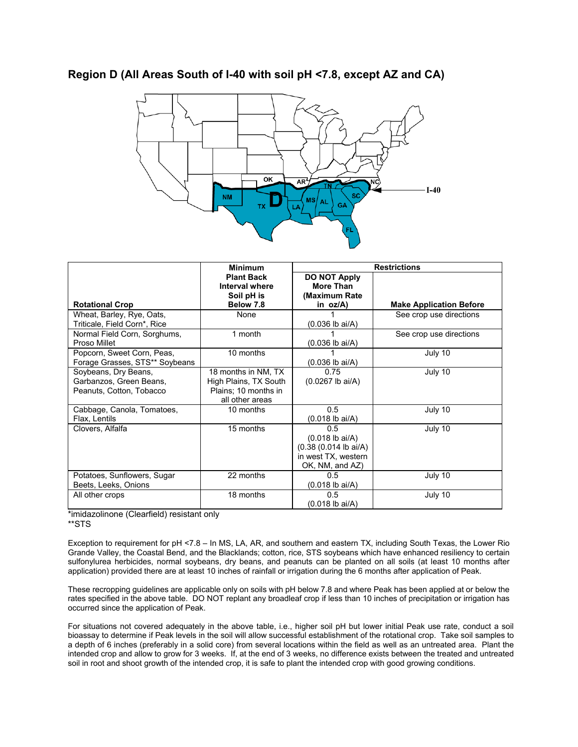

### **Region D (All Areas South of I-40 with soil pH <7.8, except AZ and CA)**

|                                                                             | <b>Minimum</b>                                                                          | <b>Restrictions</b>                                                                            |                                |
|-----------------------------------------------------------------------------|-----------------------------------------------------------------------------------------|------------------------------------------------------------------------------------------------|--------------------------------|
|                                                                             | <b>Plant Back</b><br>Interval where<br>Soil pH is                                       | <b>DO NOT Apply</b><br><b>More Than</b><br>(Maximum Rate)                                      |                                |
| <b>Rotational Crop</b>                                                      | Below 7.8                                                                               | in $oz/A$ )                                                                                    | <b>Make Application Before</b> |
| Wheat, Barley, Rye, Oats,<br>Triticale, Field Corn*, Rice                   | None                                                                                    | $(0.036$ lb ai/A)                                                                              | See crop use directions        |
| Normal Field Corn, Sorghums,<br>Proso Millet                                | 1 month                                                                                 | $(0.036$ lb ai/A)                                                                              | See crop use directions        |
| Popcorn, Sweet Corn, Peas,<br>Forage Grasses, STS** Soybeans                | 10 months                                                                               | $(0.036$ lb ai/A)                                                                              | July 10                        |
| Soybeans, Dry Beans,<br>Garbanzos, Green Beans,<br>Peanuts, Cotton, Tobacco | 18 months in NM, TX<br>High Plains, TX South<br>Plains; 10 months in<br>all other areas | 0.75<br>$(0.0267$ lb ai/A)                                                                     | July 10                        |
| Cabbage, Canola, Tomatoes,<br>Flax, Lentils                                 | 10 months                                                                               | 0.5<br>$(0.018$ lb ai/A)                                                                       | July 10                        |
| Clovers, Alfalfa                                                            | 15 months                                                                               | 0.5<br>$(0.018$ lb ai/A)<br>$(0.38 (0.014 lb)$ ai/A)<br>in west TX, western<br>OK, NM, and AZ) | July 10                        |
| Potatoes, Sunflowers, Sugar<br>Beets, Leeks, Onions                         | 22 months                                                                               | 0.5<br>$(0.018$ lb ai/A)                                                                       | July 10                        |
| All other crops                                                             | 18 months                                                                               | 0.5<br>$(0.018$ lb ai/A)                                                                       | July 10                        |

\*imidazolinone (Clearfield) resistant only

\*\*STS

Exception to requirement for pH <7.8 – In MS, LA, AR, and southern and eastern TX, including South Texas, the Lower Rio Grande Valley, the Coastal Bend, and the Blacklands; cotton, rice, STS soybeans which have enhanced resiliency to certain sulfonylurea herbicides, normal soybeans, dry beans, and peanuts can be planted on all soils (at least 10 months after application) provided there are at least 10 inches of rainfall or irrigation during the 6 months after application of Peak.

These recropping guidelines are applicable only on soils with pH below 7.8 and where Peak has been applied at or below the rates specified in the above table. DO NOT replant any broadleaf crop if less than 10 inches of precipitation or irrigation has occurred since the application of Peak.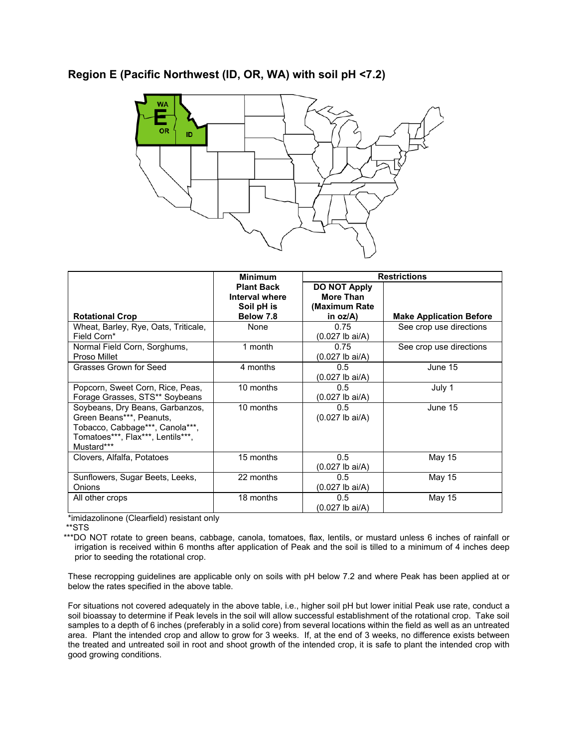



|                                                                                                                                                   | <b>Minimum</b>                                                 | <b>Restrictions</b>                                               |                                |
|---------------------------------------------------------------------------------------------------------------------------------------------------|----------------------------------------------------------------|-------------------------------------------------------------------|--------------------------------|
| <b>Rotational Crop</b>                                                                                                                            | <b>Plant Back</b><br>Interval where<br>Soil pH is<br>Below 7.8 | <b>DO NOT Apply</b><br>More Than<br>(Maximum Rate)<br>in $oz/A$ ) | <b>Make Application Before</b> |
| Wheat, Barley, Rye, Oats, Triticale,<br>Field Corn*                                                                                               | None                                                           | 0.75<br>$(0.027$ lb ai/A)                                         | See crop use directions        |
| Normal Field Corn, Sorghums,<br>Proso Millet                                                                                                      | 1 month                                                        | 0.75<br>$(0.027$ lb ai/A)                                         | See crop use directions        |
| Grasses Grown for Seed                                                                                                                            | 4 months                                                       | 0.5<br>(0.027 lb ai/A)                                            | June 15                        |
| Popcorn, Sweet Corn, Rice, Peas,<br>Forage Grasses, STS** Soybeans                                                                                | 10 months                                                      | 0.5<br>(0.027 lb ai/A)                                            | July 1                         |
| Soybeans, Dry Beans, Garbanzos,<br>Green Beans***, Peanuts,<br>Tobacco, Cabbage***, Canola***,<br>Tomatoes***, Flax***, Lentils***,<br>Mustard*** | 10 months                                                      | 0.5<br>$(0.027$ lb ai/A)                                          | June 15                        |
| Clovers, Alfalfa, Potatoes                                                                                                                        | 15 months                                                      | 0.5<br>(0.027 lb ai/A)                                            | May 15                         |
| Sunflowers, Sugar Beets, Leeks,<br>Onions                                                                                                         | 22 months                                                      | 0.5<br>(0.027 lb ai/A)                                            | May 15                         |
| All other crops                                                                                                                                   | 18 months                                                      | 0.5<br>(0.027 lb ai/A)                                            | May 15                         |

\*imidazolinone (Clearfield) resistant only

\*\*STS

\*\*\*DO NOT rotate to green beans, cabbage, canola, tomatoes, flax, lentils, or mustard unless 6 inches of rainfall or irrigation is received within 6 months after application of Peak and the soil is tilled to a minimum of 4 inches deep prior to seeding the rotational crop.

These recropping guidelines are applicable only on soils with pH below 7.2 and where Peak has been applied at or below the rates specified in the above table.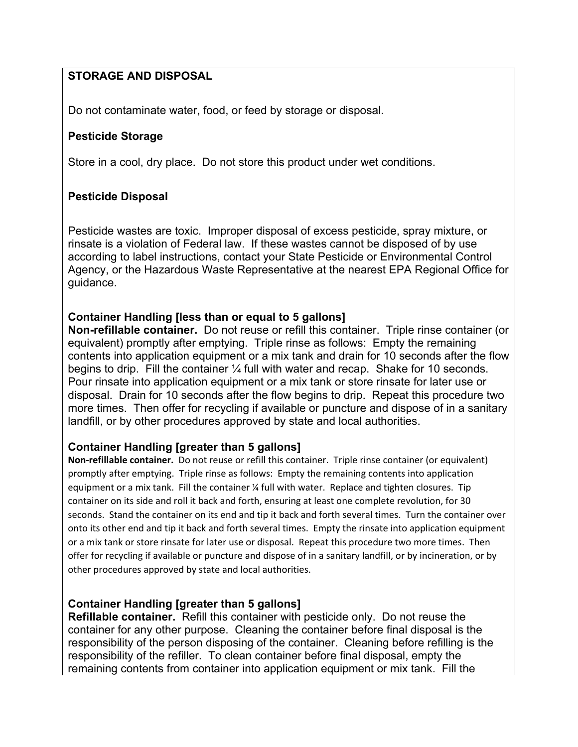# **STORAGE AND DISPOSAL**

Do not contaminate water, food, or feed by storage or disposal.

### **Pesticide Storage**

Store in a cool, dry place. Do not store this product under wet conditions.

### **Pesticide Disposal**

Pesticide wastes are toxic. Improper disposal of excess pesticide, spray mixture, or rinsate is a violation of Federal law. If these wastes cannot be disposed of by use according to label instructions, contact your State Pesticide or Environmental Control Agency, or the Hazardous Waste Representative at the nearest EPA Regional Office for guidance.

### **Container Handling [less than or equal to 5 gallons]**

**Non-refillable container.** Do not reuse or refill this container. Triple rinse container (or equivalent) promptly after emptying. Triple rinse as follows: Empty the remaining contents into application equipment or a mix tank and drain for 10 seconds after the flow begins to drip. Fill the container ¼ full with water and recap. Shake for 10 seconds. Pour rinsate into application equipment or a mix tank or store rinsate for later use or disposal. Drain for 10 seconds after the flow begins to drip. Repeat this procedure two more times. Then offer for recycling if available or puncture and dispose of in a sanitary landfill, or by other procedures approved by state and local authorities.

### **Container Handling [greater than 5 gallons]**

**Non‐refillable container.** Do not reuse or refill this container. Triple rinse container (or equivalent) promptly after emptying. Triple rinse as follows: Empty the remaining contents into application equipment or a mix tank. Fill the container ¼ full with water. Replace and tighten closures. Tip container on its side and roll it back and forth, ensuring at least one complete revolution, for 30 seconds. Stand the container on its end and tip it back and forth several times. Turn the container over onto its other end and tip it back and forth several times. Empty the rinsate into application equipment or a mix tank or store rinsate for later use or disposal. Repeat this procedure two more times. Then offer for recycling if available or puncture and dispose of in a sanitary landfill, or by incineration, or by other procedures approved by state and local authorities.

# **Container Handling [greater than 5 gallons]**

**Refillable container.** Refill this container with pesticide only. Do not reuse the container for any other purpose. Cleaning the container before final disposal is the responsibility of the person disposing of the container. Cleaning before refilling is the responsibility of the refiller. To clean container before final disposal, empty the remaining contents from container into application equipment or mix tank. Fill the